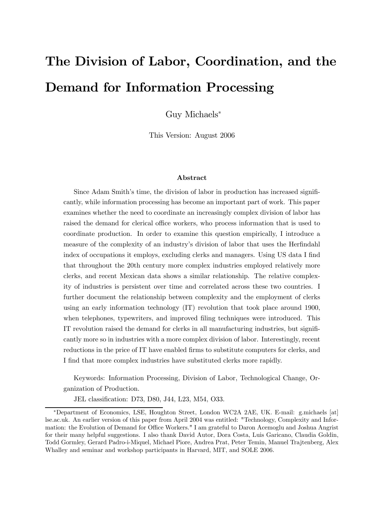# The Division of Labor, Coordination, and the Demand for Information Processing

Guy Michaels<sup>∗</sup>

This Version: August 2006

#### Abstract

Since Adam Smith's time, the division of labor in production has increased significantly, while information processing has become an important part of work. This paper examines whether the need to coordinate an increasingly complex division of labor has raised the demand for clerical office workers, who process information that is used to coordinate production. In order to examine this question empirically, I introduce a measure of the complexity of an industry's division of labor that uses the Herfindahl index of occupations it employs, excluding clerks and managers. Using US data I find that throughout the 20th century more complex industries employed relatively more clerks, and recent Mexican data shows a similar relationship. The relative complexity of industries is persistent over time and correlated across these two countries. I further document the relationship between complexity and the employment of clerks using an early information technology (IT) revolution that took place around 1900, when telephones, typewriters, and improved filing techniques were introduced. This IT revolution raised the demand for clerks in all manufacturing industries, but significantly more so in industries with a more complex division of labor. Interestingly, recent reductions in the price of IT have enabled firms to substitute computers for clerks, and I find that more complex industries have substituted clerks more rapidly.

Keywords: Information Processing, Division of Labor, Technological Change, Organization of Production.

JEL classification: D73, D80, J44, L23, M54, O33.

<sup>∗</sup>Department of Economics, LSE, Houghton Street, London WC2A 2AE, UK. E-mail: g.michaels [at] lse.ac.uk. An earlier version of this paper from April 2004 was entitled: "Technology, Complexity and Information: the Evolution of Demand for Office Workers." I am grateful to Daron Acemoglu and Joshua Angrist for their many helpful suggestions. I also thank David Autor, Dora Costa, Luis Garicano, Claudia Goldin, Todd Gormley, Gerard Padro-i-Miquel, Michael Piore, Andrea Prat, Peter Temin, Manuel Trajtenberg, Alex Whalley and seminar and workshop participants in Harvard, MIT, and SOLE 2006.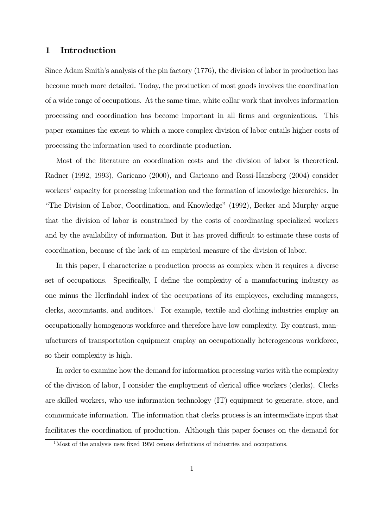#### 1 Introduction

Since Adam Smith's analysis of the pin factory (1776), the division of labor in production has become much more detailed. Today, the production of most goods involves the coordination of a wide range of occupations. At the same time, white collar work that involves information processing and coordination has become important in all firms and organizations. This paper examines the extent to which a more complex division of labor entails higher costs of processing the information used to coordinate production.

Most of the literature on coordination costs and the division of labor is theoretical. Radner (1992, 1993), Garicano (2000), and Garicano and Rossi-Hansberg (2004) consider workers' capacity for processing information and the formation of knowledge hierarchies. In "The Division of Labor, Coordination, and Knowledge" (1992), Becker and Murphy argue that the division of labor is constrained by the costs of coordinating specialized workers and by the availability of information. But it has proved difficult to estimate these costs of coordination, because of the lack of an empirical measure of the division of labor.

In this paper, I characterize a production process as complex when it requires a diverse set of occupations. Specifically, I define the complexity of a manufacturing industry as one minus the Herfindahl index of the occupations of its employees, excluding managers, clerks, accountants, and auditors.<sup>1</sup> For example, textile and clothing industries employ an occupationally homogenous workforce and therefore have low complexity. By contrast, manufacturers of transportation equipment employ an occupationally heterogeneous workforce, so their complexity is high.

In order to examine how the demand for information processing varies with the complexity of the division of labor, I consider the employment of clerical office workers (clerks). Clerks are skilled workers, who use information technology (IT) equipment to generate, store, and communicate information. The information that clerks process is an intermediate input that facilitates the coordination of production. Although this paper focuses on the demand for

<sup>&</sup>lt;sup>1</sup>Most of the analysis uses fixed 1950 census definitions of industries and occupations.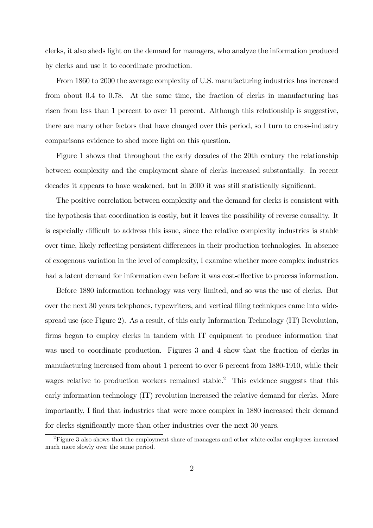clerks, it also sheds light on the demand for managers, who analyze the information produced by clerks and use it to coordinate production.

From 1860 to 2000 the average complexity of U.S. manufacturing industries has increased from about 0.4 to 0.78. At the same time, the fraction of clerks in manufacturing has risen from less than 1 percent to over 11 percent. Although this relationship is suggestive, there are many other factors that have changed over this period, so I turn to cross-industry comparisons evidence to shed more light on this question.

Figure 1 shows that throughout the early decades of the 20th century the relationship between complexity and the employment share of clerks increased substantially. In recent decades it appears to have weakened, but in 2000 it was still statistically significant.

The positive correlation between complexity and the demand for clerks is consistent with the hypothesis that coordination is costly, but it leaves the possibility of reverse causality. It is especially difficult to address this issue, since the relative complexity industries is stable over time, likely reflecting persistent differences in their production technologies. In absence of exogenous variation in the level of complexity, I examine whether more complex industries had a latent demand for information even before it was cost-effective to process information.

Before 1880 information technology was very limited, and so was the use of clerks. But over the next 30 years telephones, typewriters, and vertical filing techniques came into widespread use (see Figure 2). As a result, of this early Information Technology (IT) Revolution, firms began to employ clerks in tandem with IT equipment to produce information that was used to coordinate production. Figures 3 and 4 show that the fraction of clerks in manufacturing increased from about 1 percent to over 6 percent from 1880-1910, while their wages relative to production workers remained stable.<sup>2</sup> This evidence suggests that this early information technology (IT) revolution increased the relative demand for clerks. More importantly, I find that industries that were more complex in 1880 increased their demand for clerks significantly more than other industries over the next 30 years.

 ${}^{2}$ Figure 3 also shows that the employment share of managers and other white-collar employees increased much more slowly over the same period.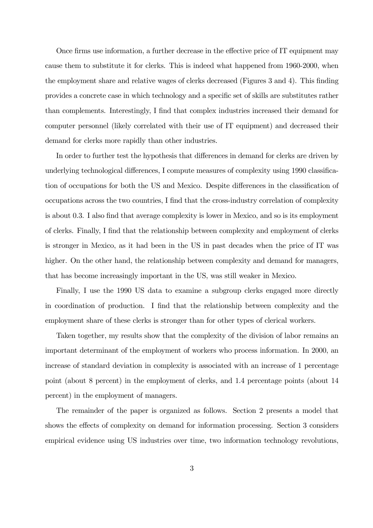Once firms use information, a further decrease in the effective price of IT equipment may cause them to substitute it for clerks. This is indeed what happened from 1960-2000, when the employment share and relative wages of clerks decreased (Figures 3 and 4). This finding provides a concrete case in which technology and a specific set of skills are substitutes rather than complements. Interestingly, I find that complex industries increased their demand for computer personnel (likely correlated with their use of IT equipment) and decreased their demand for clerks more rapidly than other industries.

In order to further test the hypothesis that differences in demand for clerks are driven by underlying technological differences, I compute measures of complexity using 1990 classification of occupations for both the US and Mexico. Despite differences in the classification of occupations across the two countries, I find that the cross-industry correlation of complexity is about 0.3. I also find that average complexity is lower in Mexico, and so is its employment of clerks. Finally, I find that the relationship between complexity and employment of clerks is stronger in Mexico, as it had been in the US in past decades when the price of IT was higher. On the other hand, the relationship between complexity and demand for managers, that has become increasingly important in the US, was still weaker in Mexico.

Finally, I use the 1990 US data to examine a subgroup clerks engaged more directly in coordination of production. I find that the relationship between complexity and the employment share of these clerks is stronger than for other types of clerical workers.

Taken together, my results show that the complexity of the division of labor remains an important determinant of the employment of workers who process information. In 2000, an increase of standard deviation in complexity is associated with an increase of 1 percentage point (about 8 percent) in the employment of clerks, and 1.4 percentage points (about 14 percent) in the employment of managers.

The remainder of the paper is organized as follows. Section 2 presents a model that shows the effects of complexity on demand for information processing. Section 3 considers empirical evidence using US industries over time, two information technology revolutions,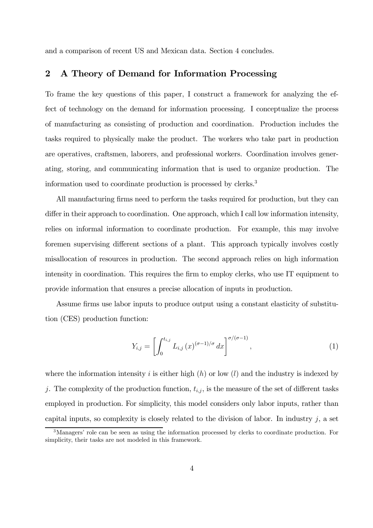and a comparison of recent US and Mexican data. Section 4 concludes.

# 2 A Theory of Demand for Information Processing

To frame the key questions of this paper, I construct a framework for analyzing the effect of technology on the demand for information processing. I conceptualize the process of manufacturing as consisting of production and coordination. Production includes the tasks required to physically make the product. The workers who take part in production are operatives, craftsmen, laborers, and professional workers. Coordination involves generating, storing, and communicating information that is used to organize production. The information used to coordinate production is processed by clerks.3

All manufacturing firms need to perform the tasks required for production, but they can differ in their approach to coordination. One approach, which I call low information intensity, relies on informal information to coordinate production. For example, this may involve foremen supervising different sections of a plant. This approach typically involves costly misallocation of resources in production. The second approach relies on high information intensity in coordination. This requires the firm to employ clerks, who use IT equipment to provide information that ensures a precise allocation of inputs in production.

Assume firms use labor inputs to produce output using a constant elasticity of substitution (CES) production function:

$$
Y_{i,j} = \left[ \int_0^{t_{i,j}} L_{i,j}(x)^{(\sigma - 1)/\sigma} dx \right]^{\sigma/(\sigma - 1)}, \tag{1}
$$

where the information intensity i is either high  $(h)$  or low  $(l)$  and the industry is indexed by j. The complexity of the production function,  $t_{i,j}$ , is the measure of the set of different tasks employed in production. For simplicity, this model considers only labor inputs, rather than capital inputs, so complexity is closely related to the division of labor. In industry  $j$ , a set

<sup>3</sup>Managers' role can be seen as using the information processed by clerks to coordinate production. For simplicity, their tasks are not modeled in this framework.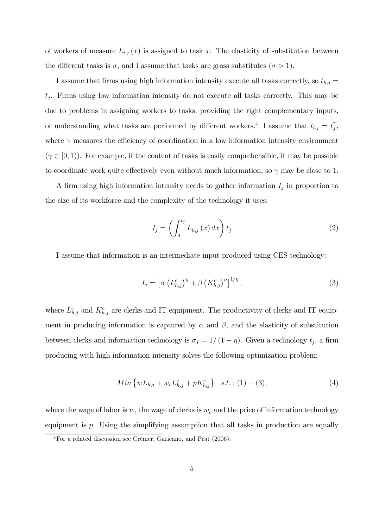of workers of measure  $L_{i,j}(x)$  is assigned to task x. The elasticity of substitution between the different tasks is  $\sigma$ , and I assume that tasks are gross substitutes  $(\sigma > 1)$ .

I assume that firms using high information intensity execute all tasks correctly, so  $t_{h,j} =$  $t_j$ . Firms using low information intensity do not execute all tasks correctly. This may be due to problems in assigning workers to tasks, providing the right complementary inputs, or understanding what tasks are performed by different workers.<sup>4</sup> I assume that  $t_{l,j} = t_j^{\gamma}$ , where  $\gamma$  measures the efficiency of coordination in a low information intensity environment  $(\gamma \in [0, 1))$ . For example, if the content of tasks is easily comprehensible, it may be possible to coordinate work quite effectively even without much information, so  $\gamma$  may be close to 1.

A firm using high information intensity needs to gather information  $I_j$  in proportion to the size of its workforce and the complexity of the technology it uses:

$$
I_j = \left(\int_0^{t_j} L_{h,j}(x) dx\right) t_j \tag{2}
$$

I assume that information is an intermediate input produced using CES technology:

$$
I_j = \left[ \alpha \left( L_{h,j}^c \right)^{\eta} + \beta \left( K_{h,j}^c \right)^{\eta} \right]^{1/\eta}, \tag{3}
$$

where  $L_{h,j}^c$  and  $K_{h,j}^c$  are clerks and IT equipment. The productivity of clerks and IT equipment in producing information is captured by  $\alpha$  and  $\beta$ , and the elasticity of substitution between clerks and information technology is  $\sigma_I = 1/(1 - \eta)$ . Given a technology  $t_j$ , a firm producing with high information intensity solves the following optimization problem:

$$
Min\{wL_{h,j} + w_c L_{h,j}^c + pK_{h,j}^c\} \quad s.t. \quad (1) - (3), \tag{4}
$$

where the wage of labor is w, the wage of clerks is  $w_c$  and the price of information technology equipment is  $p$ . Using the simplifying assumption that all tasks in production are equally

<sup>4</sup>For a related discussion see Crémer, Garicano, and Prat (2006).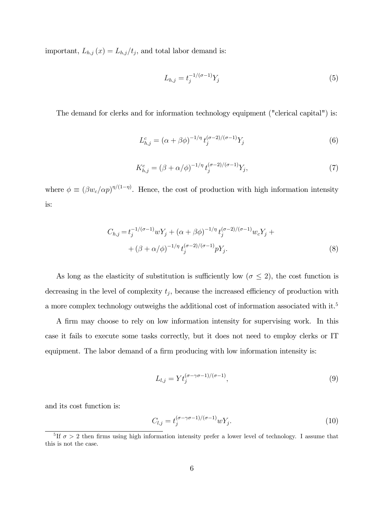important,  $L_{h,j}(x) = L_{h,j}/t_j$ , and total labor demand is:

$$
L_{h,j} = t_j^{-1/(\sigma - 1)} Y_j \tag{5}
$$

The demand for clerks and for information technology equipment ("clerical capital") is:

$$
L_{h,j}^c = (\alpha + \beta \phi)^{-1/\eta} t_j^{(\sigma - 2)/(\sigma - 1)} Y_j
$$
 (6)

$$
K_{h,j}^c = (\beta + \alpha/\phi)^{-1/\eta} t_j^{(\sigma - 2)/(\sigma - 1)} Y_j,
$$
\n(7)

where  $\phi \equiv (\beta w_c/\alpha p)^{\eta/(1-\eta)}$ . Hence, the cost of production with high information intensity is:

$$
C_{h,j} = t_j^{-1/(\sigma - 1)} w Y_j + (\alpha + \beta \phi)^{-1/\eta} t_j^{(\sigma - 2)/(\sigma - 1)} w_c Y_j +
$$
  
+ 
$$
(\beta + \alpha/\phi)^{-1/\eta} t_j^{(\sigma - 2)/(\sigma - 1)} p Y_j.
$$
 (8)

As long as the elasticity of substitution is sufficiently low ( $\sigma \leq 2$ ), the cost function is decreasing in the level of complexity  $t_j$ , because the increased efficiency of production with a more complex technology outweighs the additional cost of information associated with it.<sup>5</sup>

A firm may choose to rely on low information intensity for supervising work. In this case it fails to execute some tasks correctly, but it does not need to employ clerks or IT equipment. The labor demand of a firm producing with low information intensity is:

$$
L_{l,j} = Y t_j^{(\sigma - \gamma \sigma - 1)/(\sigma - 1)},\tag{9}
$$

and its cost function is:

$$
C_{l,j} = t_j^{(\sigma - \gamma \sigma - 1)/(\sigma - 1)} w Y_j.
$$
\n
$$
(10)
$$

 $\frac{5 \text{ H } \sigma > 2}$  then firms using high information intensity prefer a lower level of technology. I assume that this is not the case.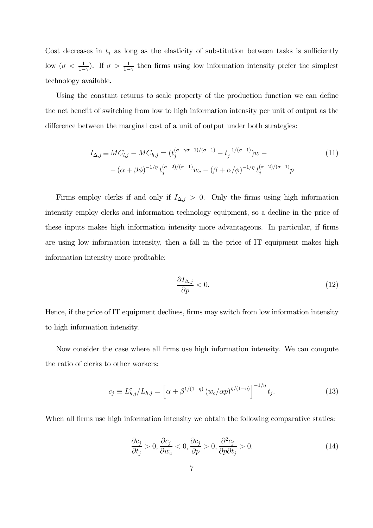Cost decreases in  $t_j$  as long as the elasticity of substitution between tasks is sufficiently low  $(\sigma < \frac{1}{1-\gamma})$ . If  $\sigma > \frac{1}{1-\gamma}$  then firms using low information intensity prefer the simplest technology available.

Using the constant returns to scale property of the production function we can define the net benefit of switching from low to high information intensity per unit of output as the difference between the marginal cost of a unit of output under both strategies:

$$
I_{\Delta,j} \equiv MC_{l,j} - MC_{h,j} = (t_j^{(\sigma - \gamma \sigma - 1)/(\sigma - 1)} - t_j^{-1/(\sigma - 1)})w -
$$
  
 
$$
-(\alpha + \beta \phi)^{-1/\eta} t_j^{(\sigma - 2)/(\sigma - 1)} w_c - (\beta + \alpha/\phi)^{-1/\eta} t_j^{(\sigma - 2)/(\sigma - 1)} p
$$
 (11)

Firms employ clerks if and only if  $I_{\Delta,j} > 0$ . Only the firms using high information intensity employ clerks and information technology equipment, so a decline in the price of these inputs makes high information intensity more advantageous. In particular, if firms are using low information intensity, then a fall in the price of IT equipment makes high information intensity more profitable:

$$
\frac{\partial I_{\Delta,j}}{\partial p} < 0. \tag{12}
$$

Hence, if the price of IT equipment declines, firms may switch from low information intensity to high information intensity.

Now consider the case where all firms use high information intensity. We can compute the ratio of clerks to other workers:

$$
c_j \equiv L_{h,j}^c / L_{h,j} = \left[ \alpha + \beta^{1/(1-\eta)} \left( w_c / \alpha p \right)^{\eta/(1-\eta)} \right]^{-1/\eta} t_j. \tag{13}
$$

When all firms use high information intensity we obtain the following comparative statics:

$$
\frac{\partial c_j}{\partial t_j} > 0, \frac{\partial c_j}{\partial w_c} < 0, \frac{\partial c_j}{\partial p} > 0, \frac{\partial^2 c_j}{\partial p \partial t_j} > 0.
$$
\n(14)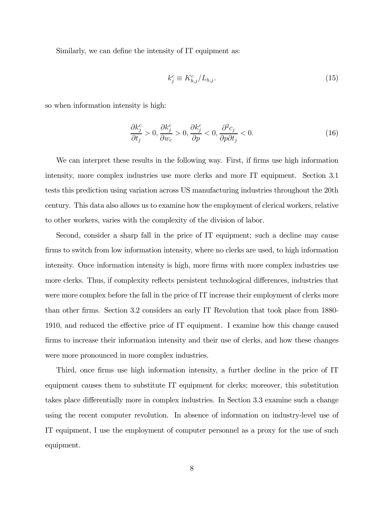Similarly, we can define the intensity of IT equipment as:

$$
k_j^c \equiv K_{h,j}^c / L_{h,j}.\tag{15}
$$

so when information intensity is high:

$$
\frac{\partial k_j^c}{\partial t_j} > 0, \frac{\partial k_j^c}{\partial w_c} > 0, \frac{\partial k_j^c}{\partial p} < 0, \frac{\partial^2 c_j}{\partial p \partial t_j} < 0.
$$
\n(16)

We can interpret these results in the following way. First, if firms use high information intensity, more complex industries use more clerks and more IT equipment. Section 3.1 tests this prediction using variation across US manufacturing industries throughout the 20th century. This data also allows us to examine how the employment of clerical workers, relative to other workers, varies with the complexity of the division of labor.

Second, consider a sharp fall in the price of IT equipment; such a decline may cause firms to switch from low information intensity, where no clerks are used, to high information intensity. Once information intensity is high, more firms with more complex industries use more clerks. Thus, if complexity reflects persistent technological differences, industries that were more complex before the fall in the price of IT increase their employment of clerks more than other firms. Section 3.2 considers an early IT Revolution that took place from 1880- 1910, and reduced the effective price of IT equipment. I examine how this change caused firms to increase their information intensity and their use of clerks, and how these changes were more pronounced in more complex industries.

Third, once firms use high information intensity, a further decline in the price of IT equipment causes them to substitute IT equipment for clerks; moreover, this substitution takes place differentially more in complex industries. In Section 3.3 examine such a change using the recent computer revolution. In absence of information on industry-level use of IT equipment, I use the employment of computer personnel as a proxy for the use of such equipment.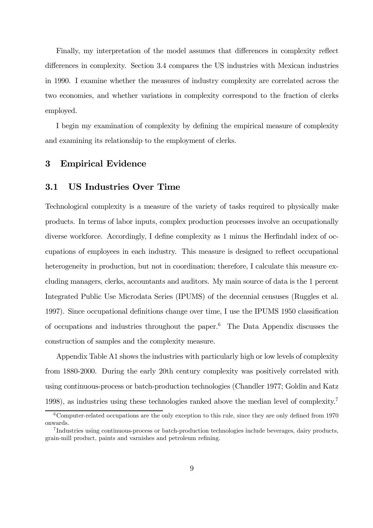Finally, my interpretation of the model assumes that differences in complexity reflect differences in complexity. Section 3.4 compares the US industries with Mexican industries in 1990. I examine whether the measures of industry complexity are correlated across the two economies, and whether variations in complexity correspond to the fraction of clerks employed.

I begin my examination of complexity by defining the empirical measure of complexity and examining its relationship to the employment of clerks.

# 3 Empirical Evidence

#### 3.1 US Industries Over Time

Technological complexity is a measure of the variety of tasks required to physically make products. In terms of labor inputs, complex production processes involve an occupationally diverse workforce. Accordingly, I define complexity as 1 minus the Herfindahl index of occupations of employees in each industry. This measure is designed to reflect occupational heterogeneity in production, but not in coordination; therefore, I calculate this measure excluding managers, clerks, accountants and auditors. My main source of data is the 1 percent Integrated Public Use Microdata Series (IPUMS) of the decennial censuses (Ruggles et al. 1997). Since occupational definitions change over time, I use the IPUMS 1950 classification of occupations and industries throughout the paper.6 The Data Appendix discusses the construction of samples and the complexity measure.

Appendix Table A1 shows the industries with particularly high or low levels of complexity from 1880-2000. During the early 20th century complexity was positively correlated with using continuous-process or batch-production technologies (Chandler 1977; Goldin and Katz 1998), as industries using these technologies ranked above the median level of complexity.7

 $6$ Computer-related occupations are the only exception to this rule, since they are only defined from 1970 onwards.

<sup>7</sup> Industries using continuous-process or batch-production technologies include beverages, dairy products, grain-mill product, paints and varnishes and petroleum refining.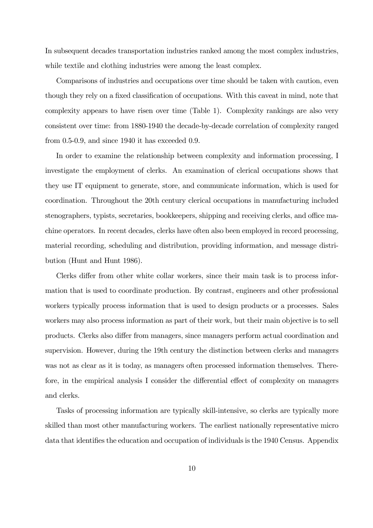In subsequent decades transportation industries ranked among the most complex industries, while textile and clothing industries were among the least complex.

Comparisons of industries and occupations over time should be taken with caution, even though they rely on a fixed classification of occupations. With this caveat in mind, note that complexity appears to have risen over time (Table 1). Complexity rankings are also very consistent over time: from 1880-1940 the decade-by-decade correlation of complexity ranged from 0.5-0.9, and since 1940 it has exceeded 0.9.

In order to examine the relationship between complexity and information processing, I investigate the employment of clerks. An examination of clerical occupations shows that they use IT equipment to generate, store, and communicate information, which is used for coordination. Throughout the 20th century clerical occupations in manufacturing included stenographers, typists, secretaries, bookkeepers, shipping and receiving clerks, and office machine operators. In recent decades, clerks have often also been employed in record processing, material recording, scheduling and distribution, providing information, and message distribution (Hunt and Hunt 1986).

Clerks differ from other white collar workers, since their main task is to process information that is used to coordinate production. By contrast, engineers and other professional workers typically process information that is used to design products or a processes. Sales workers may also process information as part of their work, but their main objective is to sell products. Clerks also differ from managers, since managers perform actual coordination and supervision. However, during the 19th century the distinction between clerks and managers was not as clear as it is today, as managers often processed information themselves. Therefore, in the empirical analysis I consider the differential effect of complexity on managers and clerks.

Tasks of processing information are typically skill-intensive, so clerks are typically more skilled than most other manufacturing workers. The earliest nationally representative micro data that identifies the education and occupation of individuals is the 1940 Census. Appendix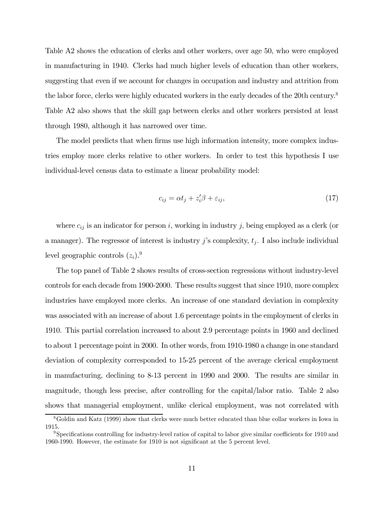Table A2 shows the education of clerks and other workers, over age 50, who were employed in manufacturing in 1940. Clerks had much higher levels of education than other workers, suggesting that even if we account for changes in occupation and industry and attrition from the labor force, clerks were highly educated workers in the early decades of the 20th century.8 Table A2 also shows that the skill gap between clerks and other workers persisted at least through 1980, although it has narrowed over time.

The model predicts that when firms use high information intensity, more complex industries employ more clerks relative to other workers. In order to test this hypothesis I use individual-level census data to estimate a linear probability model:

$$
c_{ij} = \alpha t_j + z_i' \beta + \varepsilon_{ij},\tag{17}
$$

where  $c_{ij}$  is an indicator for person i, working in industry j, being employed as a clerk (or a manager). The regressor of interest is industry j's complexity,  $t_j$ . I also include individual level geographic controls  $(z_i)$ .<sup>9</sup>

The top panel of Table 2 shows results of cross-section regressions without industry-level controls for each decade from 1900-2000. These results suggest that since 1910, more complex industries have employed more clerks. An increase of one standard deviation in complexity was associated with an increase of about 1.6 percentage points in the employment of clerks in 1910. This partial correlation increased to about 2.9 percentage points in 1960 and declined to about 1 percentage point in 2000. In other words, from 1910-1980 a change in one standard deviation of complexity corresponded to 15-25 percent of the average clerical employment in manufacturing, declining to 8-13 percent in 1990 and 2000. The results are similar in magnitude, though less precise, after controlling for the capital/labor ratio. Table 2 also shows that managerial employment, unlike clerical employment, was not correlated with

<sup>8</sup>Goldin and Katz (1999) show that clerks were much better educated than blue collar workers in Iowa in 1915.

<sup>9</sup>Specifications controlling for industry-level ratios of capital to labor give similar coefficients for 1910 and 1960-1990. However, the estimate for 1910 is not significant at the 5 percent level.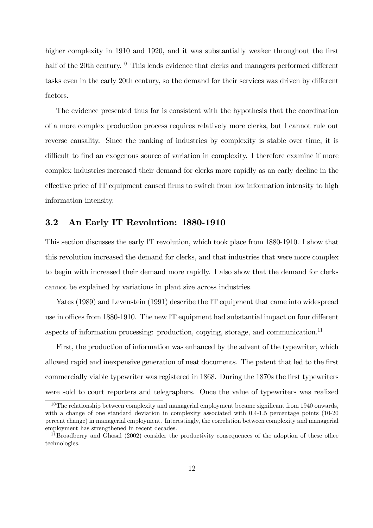higher complexity in 1910 and 1920, and it was substantially weaker throughout the first half of the 20th century.<sup>10</sup> This lends evidence that clerks and managers performed different tasks even in the early 20th century, so the demand for their services was driven by different factors.

The evidence presented thus far is consistent with the hypothesis that the coordination of a more complex production process requires relatively more clerks, but I cannot rule out reverse causality. Since the ranking of industries by complexity is stable over time, it is difficult to find an exogenous source of variation in complexity. I therefore examine if more complex industries increased their demand for clerks more rapidly as an early decline in the effective price of IT equipment caused firms to switch from low information intensity to high information intensity.

# 3.2 An Early IT Revolution: 1880-1910

This section discusses the early IT revolution, which took place from 1880-1910. I show that this revolution increased the demand for clerks, and that industries that were more complex to begin with increased their demand more rapidly. I also show that the demand for clerks cannot be explained by variations in plant size across industries.

Yates (1989) and Levenstein (1991) describe the IT equipment that came into widespread use in offices from 1880-1910. The new IT equipment had substantial impact on four different aspects of information processing: production, copying, storage, and communication.<sup>11</sup>

First, the production of information was enhanced by the advent of the typewriter, which allowed rapid and inexpensive generation of neat documents. The patent that led to the first commercially viable typewriter was registered in 1868. During the 1870s the first typewriters were sold to court reporters and telegraphers. Once the value of typewriters was realized

 $10$ The relationship between complexity and managerial employment became significant from 1940 onwards, with a change of one standard deviation in complexity associated with 0.4-1.5 percentage points (10-20) percent change) in managerial employment. Interestingly, the correlation between complexity and managerial employment has strengthened in recent decades.

 $11$ Broadberry and Ghosal (2002) consider the productivity consequences of the adoption of these office technologies.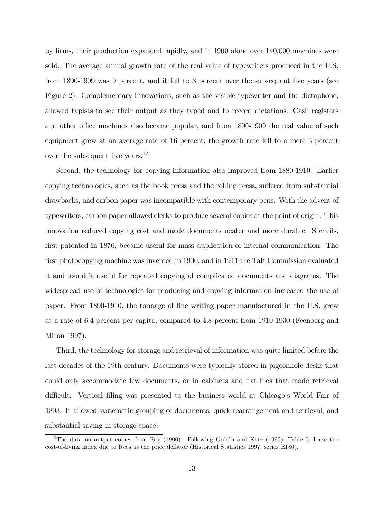by firms, their production expanded rapidly, and in 1900 alone over 140,000 machines were sold. The average annual growth rate of the real value of typewriters produced in the U.S. from 1890-1909 was 9 percent, and it fell to 3 percent over the subsequent five years (see Figure 2). Complementary innovations, such as the visible typewriter and the dictaphone, allowed typists to see their output as they typed and to record dictations. Cash registers and other office machines also became popular, and from 1890-1909 the real value of such equipment grew at an average rate of 16 percent; the growth rate fell to a mere 3 percent over the subsequent five years.<sup>12</sup>

Second, the technology for copying information also improved from 1880-1910. Earlier copying technologies, such as the book press and the rolling press, suffered from substantial drawbacks, and carbon paper was incompatible with contemporary pens. With the advent of typewriters, carbon paper allowed clerks to produce several copies at the point of origin. This innovation reduced copying cost and made documents neater and more durable. Stencils, first patented in 1876, became useful for mass duplication of internal communication. The first photocopying machine was invented in 1900, and in 1911 the Taft Commission evaluated it and found it useful for repeated copying of complicated documents and diagrams. The widespread use of technologies for producing and copying information increased the use of paper. From 1890-1910, the tonnage of fine writing paper manufactured in the U.S. grew at a rate of 6.4 percent per capita, compared to 4.8 percent from 1910-1930 (Feenberg and Miron 1997).

Third, the technology for storage and retrieval of information was quite limited before the last decades of the 19th century. Documents were typically stored in pigeonhole desks that could only accommodate few documents, or in cabinets and flat files that made retrieval difficult. Vertical filing was presented to the business world at Chicago's World Fair of 1893. It allowed systematic grouping of documents, quick rearrangement and retrieval, and substantial saving in storage space.

<sup>&</sup>lt;sup>12</sup>The data on output comes from Roy (1990). Following Goldin and Katz (1995), Table 5, I use the cost-of-living index due to Rees as the price deflator (Historical Statistics 1997, series E186).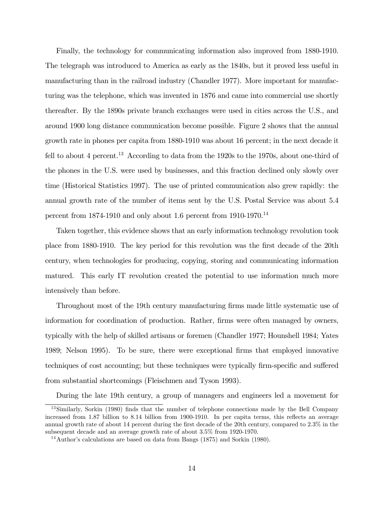Finally, the technology for communicating information also improved from 1880-1910. The telegraph was introduced to America as early as the 1840s, but it proved less useful in manufacturing than in the railroad industry (Chandler 1977). More important for manufacturing was the telephone, which was invented in 1876 and came into commercial use shortly thereafter. By the 1890s private branch exchanges were used in cities across the U.S., and around 1900 long distance communication become possible. Figure 2 shows that the annual growth rate in phones per capita from 1880-1910 was about 16 percent; in the next decade it fell to about 4 percent.<sup>13</sup> According to data from the 1920s to the 1970s, about one-third of the phones in the U.S. were used by businesses, and this fraction declined only slowly over time (Historical Statistics 1997). The use of printed communication also grew rapidly: the annual growth rate of the number of items sent by the U.S. Postal Service was about 5.4 percent from  $1874-1910$  and only about 1.6 percent from 1910-1970.<sup>14</sup>

Taken together, this evidence shows that an early information technology revolution took place from 1880-1910. The key period for this revolution was the first decade of the 20th century, when technologies for producing, copying, storing and communicating information matured. This early IT revolution created the potential to use information much more intensively than before.

Throughout most of the 19th century manufacturing firms made little systematic use of information for coordination of production. Rather, firms were often managed by owners, typically with the help of skilled artisans or foremen (Chandler 1977; Hounshell 1984; Yates 1989; Nelson 1995). To be sure, there were exceptional firms that employed innovative techniques of cost accounting; but these techniques were typically firm-specific and suffered from substantial shortcomings (Fleischmen and Tyson 1993).

During the late 19th century, a group of managers and engineers led a movement for

<sup>13</sup>Similarly, Sorkin (1980) finds that the number of telephone connections made by the Bell Company increased from 1.87 billion to 8.14 billion from 1900-1910. In per capita terms, this reflects an average annual growth rate of about 14 percent during the first decade of the 20th century, compared to 2.3% in the subsequent decade and an average growth rate of about 3.5% from 1920-1970.

<sup>14</sup>Author's calculations are based on data from Bangs (1875) and Sorkin (1980).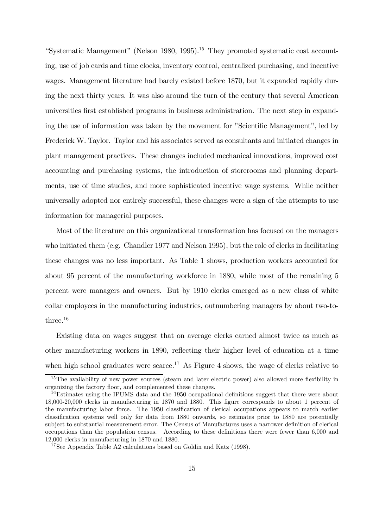"Systematic Management" (Nelson 1980, 1995).<sup>15</sup> They promoted systematic cost accounting, use of job cards and time clocks, inventory control, centralized purchasing, and incentive wages. Management literature had barely existed before 1870, but it expanded rapidly during the next thirty years. It was also around the turn of the century that several American universities first established programs in business administration. The next step in expanding the use of information was taken by the movement for "Scientific Management", led by Frederick W. Taylor. Taylor and his associates served as consultants and initiated changes in plant management practices. These changes included mechanical innovations, improved cost accounting and purchasing systems, the introduction of storerooms and planning departments, use of time studies, and more sophisticated incentive wage systems. While neither universally adopted nor entirely successful, these changes were a sign of the attempts to use information for managerial purposes.

Most of the literature on this organizational transformation has focused on the managers who initiated them (e.g. Chandler 1977 and Nelson 1995), but the role of clerks in facilitating these changes was no less important. As Table 1 shows, production workers accounted for about 95 percent of the manufacturing workforce in 1880, while most of the remaining 5 percent were managers and owners. But by 1910 clerks emerged as a new class of white collar employees in the manufacturing industries, outnumbering managers by about two-tothree.<sup>16</sup>

Existing data on wages suggest that on average clerks earned almost twice as much as other manufacturing workers in 1890, reflecting their higher level of education at a time when high school graduates were scarce.<sup>17</sup> As Figure 4 shows, the wage of clerks relative to

<sup>&</sup>lt;sup>15</sup>The availability of new power sources (steam and later electric power) also allowed more flexibility in organizing the factory floor, and complemented these changes.

<sup>&</sup>lt;sup>16</sup>Estimates using the IPUMS data and the 1950 occupational definitions suggest that there were about 18,000-20,000 clerks in manufacturing in 1870 and 1880. This figure corresponds to about 1 percent of the manufacturing labor force. The 1950 classification of clerical occupations appears to match earlier classification systems well only for data from 1880 onwards, so estimates prior to 1880 are potentially subject to substantial measurement error. The Census of Manufactures uses a narrower definition of clerical occupations than the population census. According to these definitions there were fewer than 6,000 and 12,000 clerks in manufacturing in 1870 and 1880.

<sup>&</sup>lt;sup>17</sup>See Appendix Table A2 calculations based on Goldin and Katz (1998).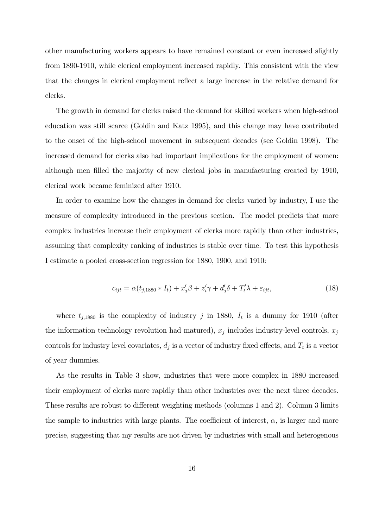other manufacturing workers appears to have remained constant or even increased slightly from 1890-1910, while clerical employment increased rapidly. This consistent with the view that the changes in clerical employment reflect a large increase in the relative demand for clerks.

The growth in demand for clerks raised the demand for skilled workers when high-school education was still scarce (Goldin and Katz 1995), and this change may have contributed to the onset of the high-school movement in subsequent decades (see Goldin 1998). The increased demand for clerks also had important implications for the employment of women: although men filled the majority of new clerical jobs in manufacturing created by 1910, clerical work became feminized after 1910.

In order to examine how the changes in demand for clerks varied by industry, I use the measure of complexity introduced in the previous section. The model predicts that more complex industries increase their employment of clerks more rapidly than other industries, assuming that complexity ranking of industries is stable over time. To test this hypothesis I estimate a pooled cross-section regression for 1880, 1900, and 1910:

$$
c_{ijt} = \alpha(t_{j,1880} * I_t) + x_j'\beta + z_i'\gamma + d_j'\delta + T_t'\lambda + \varepsilon_{ijt},\tag{18}
$$

where  $t_{j,1880}$  is the complexity of industry j in 1880,  $I_t$  is a dummy for 1910 (after the information technology revolution had matured),  $x_j$  includes industry-level controls,  $x_j$ controls for industry level covariates,  $d_j$  is a vector of industry fixed effects, and  $T_t$  is a vector of year dummies.

As the results in Table 3 show, industries that were more complex in 1880 increased their employment of clerks more rapidly than other industries over the next three decades. These results are robust to different weighting methods (columns 1 and 2). Column 3 limits the sample to industries with large plants. The coefficient of interest,  $\alpha$ , is larger and more precise, suggesting that my results are not driven by industries with small and heterogenous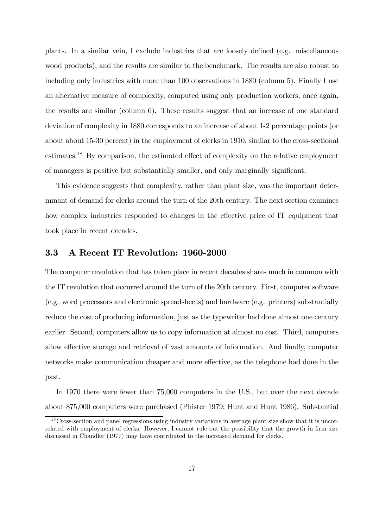plants. In a similar vein, I exclude industries that are loosely defined (e.g. miscellaneous wood products), and the results are similar to the benchmark. The results are also robust to including only industries with more than 100 observations in 1880 (column 5). Finally I use an alternative measure of complexity, computed using only production workers; once again, the results are similar (column 6). These results suggest that an increase of one standard deviation of complexity in 1880 corresponds to an increase of about 1-2 percentage points (or about about 15-30 percent) in the employment of clerks in 1910, similar to the cross-sectional estimates.18 By comparison, the estimated effect of complexity on the relative employment of managers is positive but substantially smaller, and only marginally significant.

This evidence suggests that complexity, rather than plant size, was the important determinant of demand for clerks around the turn of the 20th century. The next section examines how complex industries responded to changes in the effective price of IT equipment that took place in recent decades.

### 3.3 A Recent IT Revolution: 1960-2000

The computer revolution that has taken place in recent decades shares much in common with the IT revolution that occurred around the turn of the 20th century. First, computer software (e.g. word processors and electronic spreadsheets) and hardware (e.g. printers) substantially reduce the cost of producing information, just as the typewriter had done almost one century earlier. Second, computers allow us to copy information at almost no cost. Third, computers allow effective storage and retrieval of vast amounts of information. And finally, computer networks make communication cheaper and more effective, as the telephone had done in the past.

In 1970 there were fewer than 75,000 computers in the U.S., but over the next decade about 875,000 computers were purchased (Phister 1979; Hunt and Hunt 1986). Substantial

<sup>&</sup>lt;sup>18</sup>Cross-section and panel regressions using industry variations in average plant size show that it is uncorrelated with employment of clerks. However, I cannot rule out the possibility that the growth in firm size discussed in Chandler (1977) may have contributed to the increased demand for clerks.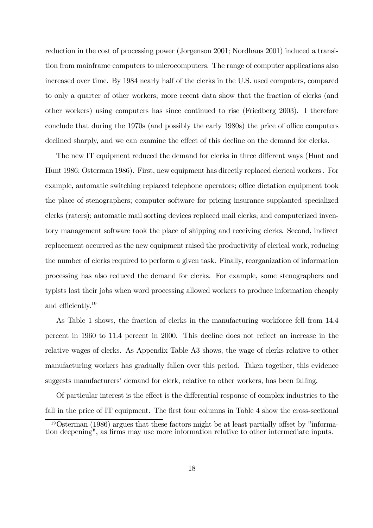reduction in the cost of processing power (Jorgenson 2001; Nordhaus 2001) induced a transition from mainframe computers to microcomputers. The range of computer applications also increased over time. By 1984 nearly half of the clerks in the U.S. used computers, compared to only a quarter of other workers; more recent data show that the fraction of clerks (and other workers) using computers has since continued to rise (Friedberg 2003). I therefore conclude that during the 1970s (and possibly the early 1980s) the price of office computers declined sharply, and we can examine the effect of this decline on the demand for clerks.

The new IT equipment reduced the demand for clerks in three different ways (Hunt and Hunt 1986; Osterman 1986). First, new equipment has directly replaced clerical workers . For example, automatic switching replaced telephone operators; office dictation equipment took the place of stenographers; computer software for pricing insurance supplanted specialized clerks (raters); automatic mail sorting devices replaced mail clerks; and computerized inventory management software took the place of shipping and receiving clerks. Second, indirect replacement occurred as the new equipment raised the productivity of clerical work, reducing the number of clerks required to perform a given task. Finally, reorganization of information processing has also reduced the demand for clerks. For example, some stenographers and typists lost their jobs when word processing allowed workers to produce information cheaply and efficiently.19

As Table 1 shows, the fraction of clerks in the manufacturing workforce fell from 14.4 percent in 1960 to 11.4 percent in 2000. This decline does not reflect an increase in the relative wages of clerks. As Appendix Table A3 shows, the wage of clerks relative to other manufacturing workers has gradually fallen over this period. Taken together, this evidence suggests manufacturers' demand for clerk, relative to other workers, has been falling.

Of particular interest is the effect is the differential response of complex industries to the fall in the price of IT equipment. The first four columns in Table 4 show the cross-sectional

<sup>19</sup>Osterman (1986) argues that these factors might be at least partially offset by "information deepening", as firms may use more information relative to other intermediate inputs.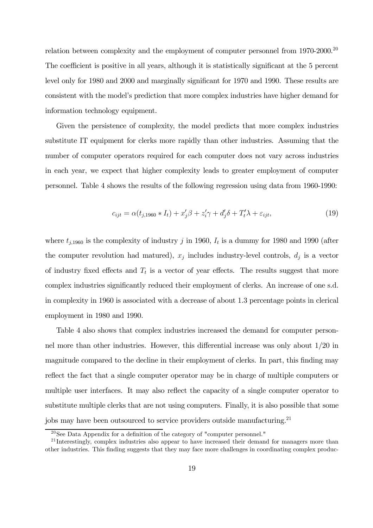relation between complexity and the employment of computer personnel from 1970-2000.<sup>20</sup> The coefficient is positive in all years, although it is statistically significant at the 5 percent level only for 1980 and 2000 and marginally significant for 1970 and 1990. These results are consistent with the model's prediction that more complex industries have higher demand for information technology equipment.

Given the persistence of complexity, the model predicts that more complex industries substitute IT equipment for clerks more rapidly than other industries. Assuming that the number of computer operators required for each computer does not vary across industries in each year, we expect that higher complexity leads to greater employment of computer personnel. Table 4 shows the results of the following regression using data from 1960-1990:

$$
c_{ijt} = \alpha(t_{j,1960} * I_t) + x_j'\beta + z_i'\gamma + d_j'\delta + T_t'\lambda + \varepsilon_{ijt},\tag{19}
$$

where  $t_{j,1960}$  is the complexity of industry j in 1960,  $I_t$  is a dummy for 1980 and 1990 (after the computer revolution had matured),  $x_j$  includes industry-level controls,  $d_j$  is a vector of industry fixed effects and  $T_t$  is a vector of year effects. The results suggest that more complex industries significantly reduced their employment of clerks. An increase of one s.d. in complexity in 1960 is associated with a decrease of about 1.3 percentage points in clerical employment in 1980 and 1990.

Table 4 also shows that complex industries increased the demand for computer personnel more than other industries. However, this differential increase was only about 1/20 in magnitude compared to the decline in their employment of clerks. In part, this finding may reflect the fact that a single computer operator may be in charge of multiple computers or multiple user interfaces. It may also reflect the capacity of a single computer operator to substitute multiple clerks that are not using computers. Finally, it is also possible that some jobs may have been outsourced to service providers outside manufacturing.<sup>21</sup>

 $20$ See Data Appendix for a definition of the category of "computer personnel."

<sup>&</sup>lt;sup>21</sup> Interestingly, complex industries also appear to have increased their demand for managers more than other industries. This finding suggests that they may face more challenges in coordinating complex produc-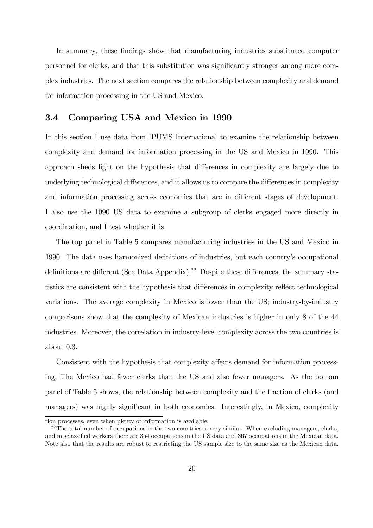In summary, these findings show that manufacturing industries substituted computer personnel for clerks, and that this substitution was significantly stronger among more complex industries. The next section compares the relationship between complexity and demand for information processing in the US and Mexico.

#### 3.4 Comparing USA and Mexico in 1990

In this section I use data from IPUMS International to examine the relationship between complexity and demand for information processing in the US and Mexico in 1990. This approach sheds light on the hypothesis that differences in complexity are largely due to underlying technological differences, and it allows us to compare the differences in complexity and information processing across economies that are in different stages of development. I also use the 1990 US data to examine a subgroup of clerks engaged more directly in coordination, and I test whether it is

The top panel in Table 5 compares manufacturing industries in the US and Mexico in 1990. The data uses harmonized definitions of industries, but each country's occupational definitions are different (See Data Appendix).<sup>22</sup> Despite these differences, the summary statistics are consistent with the hypothesis that differences in complexity reflect technological variations. The average complexity in Mexico is lower than the US; industry-by-industry comparisons show that the complexity of Mexican industries is higher in only 8 of the 44 industries. Moreover, the correlation in industry-level complexity across the two countries is about 0.3.

Consistent with the hypothesis that complexity affects demand for information processing, The Mexico had fewer clerks than the US and also fewer managers. As the bottom panel of Table 5 shows, the relationship between complexity and the fraction of clerks (and managers) was highly significant in both economies. Interestingly, in Mexico, complexity

tion processes, even when plenty of information is available.

 $22$ The total number of occupations in the two countries is very similar. When excluding managers, clerks, and misclassified workers there are 354 occupations in the US data and 367 occupations in the Mexican data. Note also that the results are robust to restricting the US sample size to the same size as the Mexican data.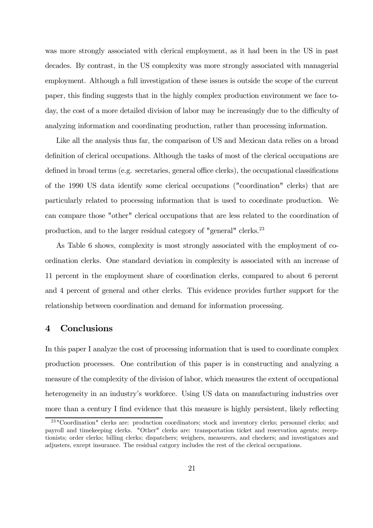was more strongly associated with clerical employment, as it had been in the US in past decades. By contrast, in the US complexity was more strongly associated with managerial employment. Although a full investigation of these issues is outside the scope of the current paper, this finding suggests that in the highly complex production environment we face today, the cost of a more detailed division of labor may be increasingly due to the difficulty of analyzing information and coordinating production, rather than processing information.

Like all the analysis thus far, the comparison of US and Mexican data relies on a broad definition of clerical occupations. Although the tasks of most of the clerical occupations are defined in broad terms (e.g. secretaries, general office clerks), the occupational classifications of the 1990 US data identify some clerical occupations ("coordination" clerks) that are particularly related to processing information that is used to coordinate production. We can compare those "other" clerical occupations that are less related to the coordination of production, and to the larger residual category of "general" clerks.23

As Table 6 shows, complexity is most strongly associated with the employment of coordination clerks. One standard deviation in complexity is associated with an increase of 11 percent in the employment share of coordination clerks, compared to about 6 percent and 4 percent of general and other clerks. This evidence provides further support for the relationship between coordination and demand for information processing.

# 4 Conclusions

In this paper I analyze the cost of processing information that is used to coordinate complex production processes. One contribution of this paper is in constructing and analyzing a measure of the complexity of the division of labor, which measures the extent of occupational heterogeneity in an industry's workforce. Using US data on manufacturing industries over more than a century I find evidence that this measure is highly persistent, likely reflecting

<sup>23</sup> "Coordination" clerks are: production coordinators; stock and inventory clerks; personnel clerks; and payroll and timekeeping clerks. "Other" clerks are: transportation ticket and reservation agents; receptionists; order clerks; billing clerks; dispatchers; weighers, measurers, and checkers; and investigators and adjusters, except insurance. The residual catgory includes the rest of the clerical occupations.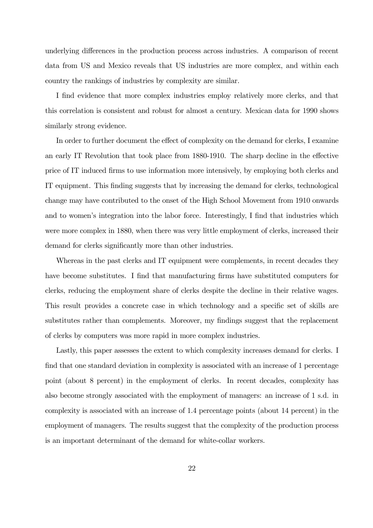underlying differences in the production process across industries. A comparison of recent data from US and Mexico reveals that US industries are more complex, and within each country the rankings of industries by complexity are similar.

I find evidence that more complex industries employ relatively more clerks, and that this correlation is consistent and robust for almost a century. Mexican data for 1990 shows similarly strong evidence.

In order to further document the effect of complexity on the demand for clerks, I examine an early IT Revolution that took place from 1880-1910. The sharp decline in the effective price of IT induced firms to use information more intensively, by employing both clerks and IT equipment. This finding suggests that by increasing the demand for clerks, technological change may have contributed to the onset of the High School Movement from 1910 onwards and to women's integration into the labor force. Interestingly, I find that industries which were more complex in 1880, when there was very little employment of clerks, increased their demand for clerks significantly more than other industries.

Whereas in the past clerks and IT equipment were complements, in recent decades they have become substitutes. I find that manufacturing firms have substituted computers for clerks, reducing the employment share of clerks despite the decline in their relative wages. This result provides a concrete case in which technology and a specific set of skills are substitutes rather than complements. Moreover, my findings suggest that the replacement of clerks by computers was more rapid in more complex industries.

Lastly, this paper assesses the extent to which complexity increases demand for clerks. I find that one standard deviation in complexity is associated with an increase of 1 percentage point (about 8 percent) in the employment of clerks. In recent decades, complexity has also become strongly associated with the employment of managers: an increase of 1 s.d. in complexity is associated with an increase of 1.4 percentage points (about 14 percent) in the employment of managers. The results suggest that the complexity of the production process is an important determinant of the demand for white-collar workers.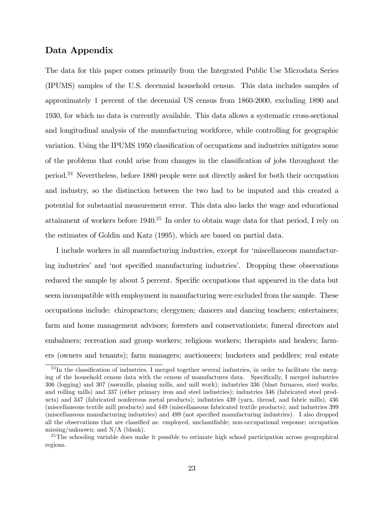#### Data Appendix

The data for this paper comes primarily from the Integrated Public Use Microdata Series (IPUMS) samples of the U.S. decennial household census. This data includes samples of approximately 1 percent of the decennial US census from 1860-2000, excluding 1890 and 1930, for which no data is currently available. This data allows a systematic cross-sectional and longitudinal analysis of the manufacturing workforce, while controlling for geographic variation. Using the IPUMS 1950 classification of occupations and industries mitigates some of the problems that could arise from changes in the classification of jobs throughout the period.24 Nevertheless, before 1880 people were not directly asked for both their occupation and industry, so the distinction between the two had to be imputed and this created a potential for substantial measurement error. This data also lacks the wage and educational attainment of workers before 1940.25 In order to obtain wage data for that period, I rely on the estimates of Goldin and Katz (1995), which are based on partial data.

I include workers in all manufacturing industries, except for 'miscellaneous manufacturing industries' and 'not specified manufacturing industries'. Dropping these observations reduced the sample by about 5 percent. Specific occupations that appeared in the data but seem incompatible with employment in manufacturing were excluded from the sample. These occupations include: chiropractors; clergymen; dancers and dancing teachers; entertainers; farm and home management advisors; foresters and conservationists; funeral directors and embalmers; recreation and group workers; religious workers; therapists and healers; farmers (owners and tenants); farm managers; auctioneers; hucksters and peddlers; real estate

<sup>&</sup>lt;sup>24</sup>In the classification of industries, I merged together several industries, in order to facilitate the merging of the household census data with the census of manufactures data. Specifically, I merged industries 306 (logging) and 307 (sawmills, planing mills, and mill work); industries 336 (blast furnaces, steel works, and rolling mills) and 337 (other primary iron and steel industries); industries 346 (fabricated steel products) and 347 (fabricated nonferrous metal products); industries 439 (yarn, thread, and fabric mills), 436 (miscellaneous textile mill products) and 449 (miscellaneous fabricated textile products); and industries 399 (miscellaneous manufacturing industries) and 499 (not specified manufacturing industries). I also dropped all the observations that are classified as: employed, unclassifiable; non-occupational response; occupation missing/unknown; and N/A (blank).

<sup>&</sup>lt;sup>25</sup>The schooling variable does make it possible to estimate high school participation across geographical regions.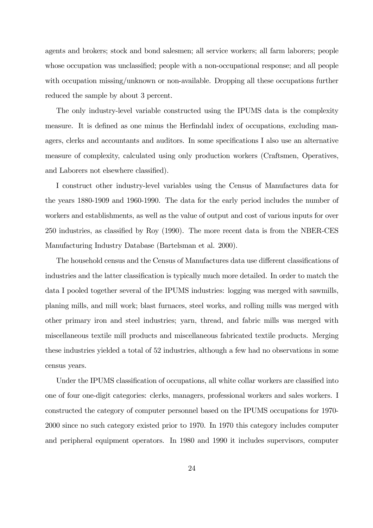agents and brokers; stock and bond salesmen; all service workers; all farm laborers; people whose occupation was unclassified; people with a non-occupational response; and all people with occupation missing/unknown or non-available. Dropping all these occupations further reduced the sample by about 3 percent.

The only industry-level variable constructed using the IPUMS data is the complexity measure. It is defined as one minus the Herfindahl index of occupations, excluding managers, clerks and accountants and auditors. In some specifications I also use an alternative measure of complexity, calculated using only production workers (Craftsmen, Operatives, and Laborers not elsewhere classified).

I construct other industry-level variables using the Census of Manufactures data for the years 1880-1909 and 1960-1990. The data for the early period includes the number of workers and establishments, as well as the value of output and cost of various inputs for over 250 industries, as classified by Roy (1990). The more recent data is from the NBER-CES Manufacturing Industry Database (Bartelsman et al. 2000).

The household census and the Census of Manufactures data use different classifications of industries and the latter classification is typically much more detailed. In order to match the data I pooled together several of the IPUMS industries: logging was merged with sawmills, planing mills, and mill work; blast furnaces, steel works, and rolling mills was merged with other primary iron and steel industries; yarn, thread, and fabric mills was merged with miscellaneous textile mill products and miscellaneous fabricated textile products. Merging these industries yielded a total of 52 industries, although a few had no observations in some census years.

Under the IPUMS classification of occupations, all white collar workers are classified into one of four one-digit categories: clerks, managers, professional workers and sales workers. I constructed the category of computer personnel based on the IPUMS occupations for 1970- 2000 since no such category existed prior to 1970. In 1970 this category includes computer and peripheral equipment operators. In 1980 and 1990 it includes supervisors, computer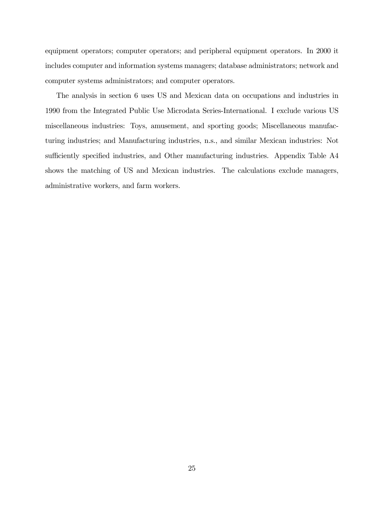equipment operators; computer operators; and peripheral equipment operators. In 2000 it includes computer and information systems managers; database administrators; network and computer systems administrators; and computer operators.

The analysis in section 6 uses US and Mexican data on occupations and industries in 1990 from the Integrated Public Use Microdata Series-International. I exclude various US miscellaneous industries: Toys, amusement, and sporting goods; Miscellaneous manufacturing industries; and Manufacturing industries, n.s., and similar Mexican industries: Not sufficiently specified industries, and Other manufacturing industries. Appendix Table A4 shows the matching of US and Mexican industries. The calculations exclude managers, administrative workers, and farm workers.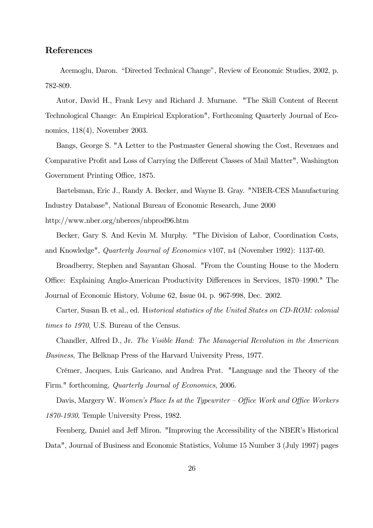#### References

Acemoglu, Daron. "Directed Technical Change", Review of Economic Studies, 2002, p. 782-809.

Autor, David H., Frank Levy and Richard J. Murnane. "The Skill Content of Recent Technological Change: An Empirical Exploration", Forthcoming Quarterly Journal of Economics, 118(4), November 2003.

Bangs, George S. "A Letter to the Postmaster General showing the Cost, Revenues and Comparative Profit and Loss of Carrying the Different Classes of Mail Matter", Washington Government Printing Office, 1875.

Bartelsman, Eric J., Randy A. Becker, and Wayne B. Gray. "NBER-CES Manufacturing Industry Database", National Bureau of Economic Research, June 2000

http://www.nber.org/nberces/nbprod96.htm

Becker, Gary S. And Kevin M. Murphy. "The Division of Labor, Coordination Costs, and Knowledge", Quarterly Journal of Economics v107, n4 (November 1992): 1137-60.

Broadberry, Stephen and Sayantan Ghosal. "From the Counting House to the Modern Office: Explaining Anglo-American Productivity Differences in Services, 1870—1990." The Journal of Economic History, Volume 62, Issue 04, p. 967-998, Dec. 2002.

Carter, Susan B. et al., ed. Historical statistics of the United States on CD-ROM: colonial times to 1970, U.S. Bureau of the Census.

Chandler, Alfred D., Jr. The Visible Hand: The Managerial Revolution in the American

Business, The Belknap Press of the Harvard University Press, 1977.

Crémer, Jacques, Luis Garicano, and Andrea Prat. "Language and the Theory of the Firm." forthcoming, Quarterly Journal of Economics, 2006.

Davis, Margery W. Women's Place Is at the Typewriter – Office Work and Office Workers 1870-1930, Temple University Press, 1982.

Feenberg, Daniel and Jeff Miron. "Improving the Accessibility of the NBER's Historical Data", Journal of Business and Economic Statistics, Volume 15 Number 3 (July 1997) pages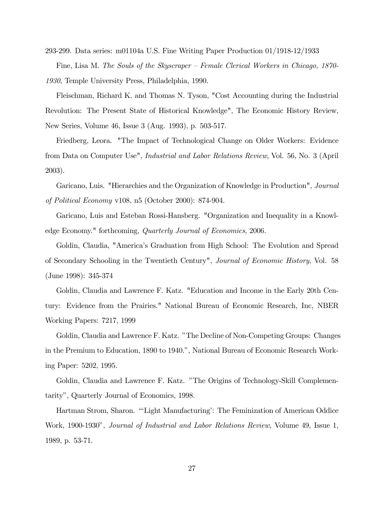293-299. Data series: m01104a U.S. Fine Writing Paper Production 01/1918-12/1933 Fine, Lisa M. The Souls of the Skyscraper — Female Clerical Workers in Chicago, 1870- 1930, Temple University Press, Philadelphia, 1990.

Fleischman, Richard K. and Thomas N. Tyson, "Cost Accounting during the Industrial Revolution: The Present State of Historical Knowledge", The Economic History Review, New Series, Volume 46, Issue 3 (Aug. 1993), p. 503-517.

Friedberg, Leora. "The Impact of Technological Change on Older Workers: Evidence from Data on Computer Use", Industrial and Labor Relations Review, Vol. 56, No. 3 (April 2003).

Garicano, Luis. "Hierarchies and the Organization of Knowledge in Production", Journal of Political Economy v108, n5 (October 2000): 874-904.

Garicano, Luis and Esteban Rossi-Hansberg. "Organization and Inequality in a Knowledge Economy." forthcoming, Quarterly Journal of Economics, 2006.

Goldin, Claudia, "America's Graduation from High School: The Evolution and Spread of Secondary Schooling in the Twentieth Century", Journal of Economic History, Vol. 58 (June 1998): 345-374

Goldin, Claudia and Lawrence F. Katz. "Education and Income in the Early 20th Century: Evidence from the Prairies." National Bureau of Economic Research, Inc, NBER Working Papers: 7217, 1999

Goldin, Claudia and Lawrence F. Katz. "The Decline of Non-Competing Groups: Changes in the Premium to Education, 1890 to 1940.", National Bureau of Economic Research Working Paper: 5202, 1995.

Goldin, Claudia and Lawrence F. Katz. "The Origins of Technology-Skill Complementarity", Quarterly Journal of Economics, 1998.

Hartman Strom, Sharon. "'Light Manufacturing': The Feminization of American Oddice Work, 1900-1930", Journal of Industrial and Labor Relations Review, Volume 49, Issue 1, 1989, p. 53-71.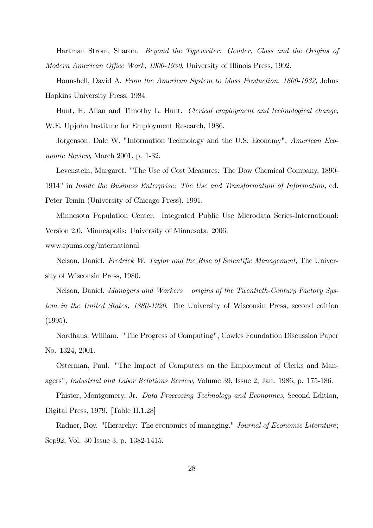Hartman Strom, Sharon. Beyond the Typewriter: Gender, Class and the Origins of Modern American Office Work, 1900-1930, University of Illinois Press, 1992.

Hounshell, David A. From the American System to Mass Production, 1800-1932, Johns Hopkins University Press, 1984.

Hunt, H. Allan and Timothy L. Hunt. Clerical employment and technological change, W.E. Upjohn Institute for Employment Research, 1986.

Jorgenson, Dale W. "Information Technology and the U.S. Economy", American Economic Review, March 2001, p. 1-32.

Levenstein, Margaret. "The Use of Cost Measures: The Dow Chemical Company, 1890- 1914" in Inside the Business Enterprise: The Use and Transformation of Information, ed.

Peter Temin (University of Chicago Press), 1991.

Minnesota Population Center. Integrated Public Use Microdata Series-International: Version 2.0. Minneapolis: University of Minnesota, 2006.

www.ipums.org/international

Nelson, Daniel. Fredrick W. Taylor and the Rise of Scientific Management, The University of Wisconsin Press, 1980.

Nelson, Daniel. Managers and Workers — origins of the Twentieth-Century Factory System in the United States, 1880-1920, The University of Wisconsin Press, second edition (1995).

Nordhaus, William. "The Progress of Computing", Cowles Foundation Discussion Paper No. 1324, 2001.

Osterman, Paul. "The Impact of Computers on the Employment of Clerks and Managers", Industrial and Labor Relations Review, Volume 39, Issue 2, Jan. 1986, p. 175-186.

Phister, Montgomery, Jr. Data Processing Technology and Economics, Second Edition, Digital Press, 1979. [Table II.1.28]

Radner, Roy. "Hierarchy: The economics of managing." *Journal of Economic Literature*; Sep92, Vol. 30 Issue 3, p. 1382-1415.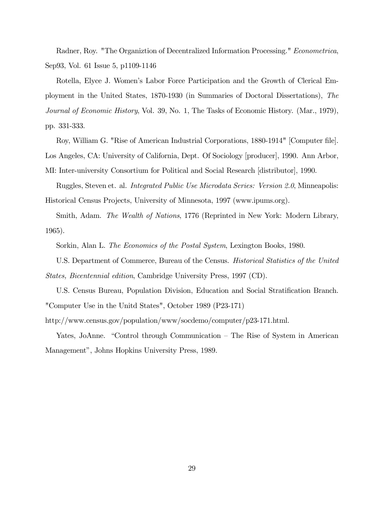Radner, Roy. "The Organiztion of Decentralized Information Processing." Econometrica, Sep93, Vol. 61 Issue 5, p1109-1146

Rotella, Elyce J. Women's Labor Force Participation and the Growth of Clerical Employment in the United States, 1870-1930 (in Summaries of Doctoral Dissertations), The Journal of Economic History, Vol. 39, No. 1, The Tasks of Economic History. (Mar., 1979), pp. 331-333.

Roy, William G. "Rise of American Industrial Corporations, 1880-1914" [Computer file]. Los Angeles, CA: University of California, Dept. Of Sociology [producer], 1990. Ann Arbor,

Ruggles, Steven et. al. Integrated Public Use Microdata Series: Version 2.0, Minneapolis:

MI: Inter-university Consortium for Political and Social Research [distributor], 1990.

Historical Census Projects, University of Minnesota, 1997 (www.ipums.org).

Smith, Adam. The Wealth of Nations, 1776 (Reprinted in New York: Modern Library, 1965).

Sorkin, Alan L. The Economics of the Postal System, Lexington Books, 1980.

U.S. Department of Commerce, Bureau of the Census. Historical Statistics of the United States, Bicentennial edition, Cambridge University Press, 1997 (CD).

U.S. Census Bureau, Population Division, Education and Social Stratification Branch. "Computer Use in the Unitd States", October 1989 (P23-171)

http://www.census.gov/population/www/socdemo/computer/p23-171.html.

Yates, JoAnne. "Control through Communication — The Rise of System in American Management", Johns Hopkins University Press, 1989.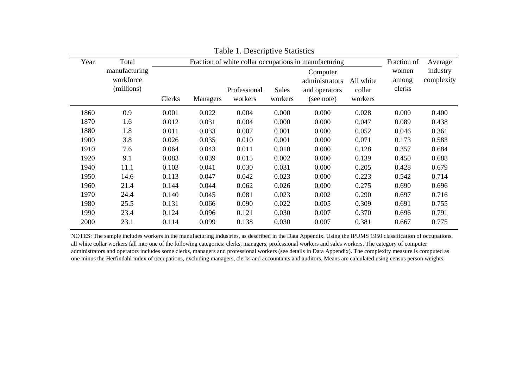| Year | Total                                    |        | Fraction of white collar occupations in manufacturing |                         |                         |                                                           |                                | Fraction of              | Average                |
|------|------------------------------------------|--------|-------------------------------------------------------|-------------------------|-------------------------|-----------------------------------------------------------|--------------------------------|--------------------------|------------------------|
|      | manufacturing<br>workforce<br>(millions) | Clerks | Managers                                              | Professional<br>workers | <b>Sales</b><br>workers | Computer<br>administrators<br>and operators<br>(see note) | All white<br>collar<br>workers | women<br>among<br>clerks | industry<br>complexity |
| 1860 | 0.9                                      | 0.001  | 0.022                                                 | 0.004                   | 0.000                   | 0.000                                                     | 0.028                          | 0.000                    | 0.400                  |
| 1870 | 1.6                                      | 0.012  | 0.031                                                 | 0.004                   | 0.000                   | 0.000                                                     | 0.047                          | 0.089                    | 0.438                  |
| 1880 | 1.8                                      | 0.011  | 0.033                                                 | 0.007                   | 0.001                   | 0.000                                                     | 0.052                          | 0.046                    | 0.361                  |
| 1900 | 3.8                                      | 0.026  | 0.035                                                 | 0.010                   | 0.001                   | 0.000                                                     | 0.071                          | 0.173                    | 0.583                  |
| 1910 | 7.6                                      | 0.064  | 0.043                                                 | 0.011                   | 0.010                   | 0.000                                                     | 0.128                          | 0.357                    | 0.684                  |
| 1920 | 9.1                                      | 0.083  | 0.039                                                 | 0.015                   | 0.002                   | 0.000                                                     | 0.139                          | 0.450                    | 0.688                  |
| 1940 | 11.1                                     | 0.103  | 0.041                                                 | 0.030                   | 0.031                   | 0.000                                                     | 0.205                          | 0.428                    | 0.679                  |
| 1950 | 14.6                                     | 0.113  | 0.047                                                 | 0.042                   | 0.023                   | 0.000                                                     | 0.223                          | 0.542                    | 0.714                  |
| 1960 | 21.4                                     | 0.144  | 0.044                                                 | 0.062                   | 0.026                   | 0.000                                                     | 0.275                          | 0.690                    | 0.696                  |
| 1970 | 24.4                                     | 0.140  | 0.045                                                 | 0.081                   | 0.023                   | 0.002                                                     | 0.290                          | 0.697                    | 0.716                  |
| 1980 | 25.5                                     | 0.131  | 0.066                                                 | 0.090                   | 0.022                   | 0.005                                                     | 0.309                          | 0.691                    | 0.755                  |
| 1990 | 23.4                                     | 0.124  | 0.096                                                 | 0.121                   | 0.030                   | 0.007                                                     | 0.370                          | 0.696                    | 0.791                  |
| 2000 | 23.1                                     | 0.114  | 0.099                                                 | 0.138                   | 0.030                   | 0.007                                                     | 0.381                          | 0.667                    | 0.775                  |

Table 1. Descriptive Statistics

NOTES: The sample includes workers in the manufacturing industries, as described in the Data Appendix. Using the IPUMS 1950 classification of occupations, all white collar workers fall into one of the following categories: clerks, managers, professional workers and sales workers. The category of computer administrators and operators includes some clerks, managers and professional workers (see details in Data Appendix). The complexity measure is computed as one minus the Herfindahl index of occupations, excluding managers, clerks and accountants and auditors. Means are calculated using census person weights.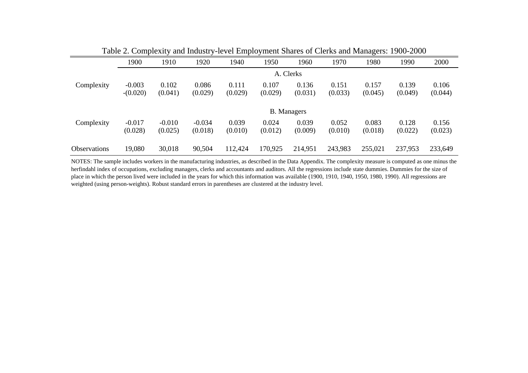|                     | 1900       | 1910     | 1920     | 1940    | 1950    | 1960               | 1970    | 1980    | 1990    | 2000    |
|---------------------|------------|----------|----------|---------|---------|--------------------|---------|---------|---------|---------|
|                     |            |          |          |         |         | A. Clerks          |         |         |         |         |
| Complexity          | $-0.003$   | 0.102    | 0.086    | 0.111   | 0.107   | 0.136              | 0.151   | 0.157   | 0.139   | 0.106   |
|                     | $-(0.020)$ | (0.041)  | (0.029)  | (0.029) | (0.029) | (0.031)            | (0.033) | (0.045) | (0.049) | (0.044) |
|                     |            |          |          |         |         | <b>B.</b> Managers |         |         |         |         |
| Complexity          | $-0.017$   | $-0.010$ | $-0.034$ | 0.039   | 0.024   | 0.039              | 0.052   | 0.083   | 0.128   | 0.156   |
|                     | (0.028)    | (0.025)  | (0.018)  | (0.010) | (0.012) | (0.009)            | (0.010) | (0.018) | (0.022) | (0.023) |
| <b>Observations</b> | 19,080     | 30,018   | 90,504   | 112,424 | 170,925 | 214,951            | 243,983 | 255,021 | 237,953 | 233,649 |

Table 2. Complexity and Industry-level Employment Shares of Clerks and Managers: 1900-2000

NOTES: The sample includes workers in the manufacturing industries, as described in the Data Appendix. The complexity measure is computed as one minus the herfindahl index of occupations, excluding managers, clerks and accountants and auditors. All the regressions include state dummies. Dummies for the size of place in which the person lived were included in the years for which this information was available (1900, 1910, 1940, 1950, 1980, 1990). All regressions are weighted (using person-weights). Robust standard errors in parentheses are clustered at the industry level.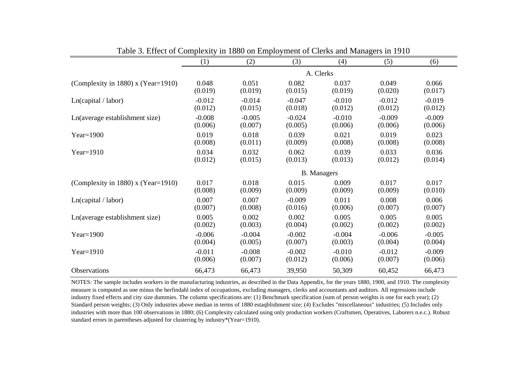|                                    | (1)      | (2)      | (3)      | (4)                | (5)      | (6)      |
|------------------------------------|----------|----------|----------|--------------------|----------|----------|
|                                    |          |          |          | A. Clerks          |          |          |
| (Complexity in 1880) x (Year=1910) | 0.048    | 0.051    | 0.082    | 0.037              | 0.049    | 0.066    |
|                                    | (0.019)  | (0.019)  | (0.015)  | (0.019)            | (0.020)  | (0.017)  |
| Ln(capital / labor)                | $-0.012$ | $-0.014$ | $-0.047$ | $-0.010$           | $-0.012$ | $-0.019$ |
|                                    | (0.012)  | (0.015)  | (0.018)  | (0.012)            | (0.012)  | (0.012)  |
| Ln(average establishment size)     | $-0.008$ | $-0.005$ | $-0.024$ | $-0.010$           | $-0.009$ | $-0.009$ |
|                                    | (0.006)  | (0.007)  | (0.005)  | (0.006)            | (0.006)  | (0.006)  |
| $Year=1900$                        | 0.019    | 0.018    | 0.039    | 0.021              | 0.019    | 0.023    |
|                                    | (0.008)  | (0.011)  | (0.009)  | (0.008)            | (0.008)  | (0.008)  |
| $Year=1910$                        | 0.034    | 0.032    | 0.062    | 0.039              | 0.033    | 0.036    |
|                                    | (0.012)  | (0.015)  | (0.013)  | (0.013)            | (0.012)  | (0.014)  |
|                                    |          |          |          | <b>B.</b> Managers |          |          |
| (Complexity in 1880) x (Year=1910) | 0.017    | 0.018    | 0.015    | 0.009              | 0.017    | 0.017    |
|                                    | (0.008)  | (0.009)  | (0.009)  | (0.009)            | (0.009)  | (0.010)  |
| Ln(capital / labor)                | 0.007    | 0.007    | $-0.009$ | 0.011              | 0.008    | 0.006    |
|                                    | (0.007)  | (0.008)  | (0.016)  | (0.006)            | (0.007)  | (0.007)  |
| Ln(average establishment size)     | 0.005    | 0.002    | 0.002    | 0.005              | 0.005    | 0.005    |
|                                    | (0.002)  | (0.003)  | (0.004)  | (0.002)            | (0.002)  | (0.002)  |
| Year= $1900$                       | $-0.006$ | $-0.004$ | $-0.002$ | $-0.004$           | $-0.006$ | $-0.005$ |
|                                    | (0.004)  | (0.005)  | (0.007)  | (0.003)            | (0.004)  | (0.004)  |
| $Year=1910$                        | $-0.011$ | $-0.008$ | $-0.002$ | $-0.010$           | $-0.012$ | $-0.009$ |
|                                    | (0.006)  | (0.007)  | (0.012)  | (0.006)            | (0.007)  | (0.006)  |
| <b>Observations</b>                | 66,473   | 66,473   | 39,950   | 50,309             | 60,452   | 66,473   |

Table 3. Effect of Complexity in 1880 on Employment of Clerks and Managers in 1910

NOTES: The sample includes workers in the manufacturing industries, as described in the Data Appendix, for the years 1880, 1900, and 1910. The complexity measure is computed as one minus the herfindahl index of occupations, excluding managers, clerks and accountants and auditors. All regressions include industry fixed effects and city size dummies. The column specifications are: (1) Benchmark specification (sum of person weights is one for each year); (2) Standard person weights; (3) Only industries above median in terms of 1880 estaqblishment size; (4) Excludes "miscellaneous" industries; (5) Includes only industries with more than 100 observations in 1880; (6) Complexity calculated using only production workers (Craftsmen, Operatives, Laborers n.e.c.). Robust standard errors in parentheses adjusted for clustering by industry\*(Year=1910).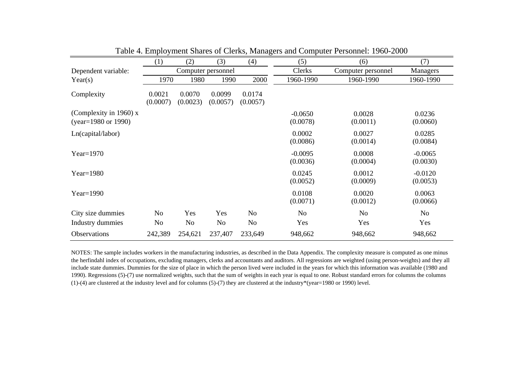|                                               | (1)                | (2)                | (3)                | (4)                | (5)                   | (6)                | (7)                   |
|-----------------------------------------------|--------------------|--------------------|--------------------|--------------------|-----------------------|--------------------|-----------------------|
| Dependent variable:                           |                    | Computer personnel |                    |                    | Clerks                | Computer personnel | Managers              |
| Year(s)                                       | 1970               | 1980               | 1990               | 2000               | 1960-1990             | 1960-1990          | 1960-1990             |
| Complexity                                    | 0.0021<br>(0.0007) | 0.0070<br>(0.0023) | 0.0099<br>(0.0057) | 0.0174<br>(0.0057) |                       |                    |                       |
| (Complexity in 1960) x<br>(year=1980 or 1990) |                    |                    |                    |                    | $-0.0650$<br>(0.0078) | 0.0028<br>(0.0011) | 0.0236<br>(0.0060)    |
| Ln(capital/labor)                             |                    |                    |                    |                    | 0.0002<br>(0.0086)    | 0.0027<br>(0.0014) | 0.0285<br>(0.0084)    |
| Year= $1970$                                  |                    |                    |                    |                    | $-0.0095$<br>(0.0036) | 0.0008<br>(0.0004) | $-0.0065$<br>(0.0030) |
| Year= $1980$                                  |                    |                    |                    |                    | 0.0245<br>(0.0052)    | 0.0012<br>(0.0009) | $-0.0120$<br>(0.0053) |
| Year= $1990$                                  |                    |                    |                    |                    | 0.0108<br>(0.0071)    | 0.0020<br>(0.0012) | 0.0063<br>(0.0066)    |
| City size dummies                             | N <sub>o</sub>     | Yes                | Yes                | N <sub>0</sub>     | N <sub>o</sub>        | N <sub>o</sub>     | N <sub>o</sub>        |
| Industry dummies                              | N <sub>o</sub>     | N <sub>o</sub>     | N <sub>o</sub>     | N <sub>o</sub>     | Yes                   | Yes                | Yes                   |
| Observations                                  | 242,389            | 254,621            | 237,407            | 233,649            | 948,662               | 948,662            | 948,662               |

Table 4. Employment Shares of Clerks, Managers and Computer Personnel: 1960-2000

NOTES: The sample includes workers in the manufacturing industries, as described in the Data Appendix. The complexity measure is computed as one minus the herfindahl index of occupations, excluding managers, clerks and accountants and auditors. All regressions are weighted (using person-weights) and they all include state dummies. Dummies for the size of place in which the person lived were included in the years for which this information was available (1980 and 1990). Regressions (5)-(7) use normalized weights, such that the sum of weights in each year is equal to one. Robust standard errors for columns the columns (1)-(4) are clustered at the industry level and for columns (5)-(7) they are clustered at the industry\*(year=1980 or 1990) level.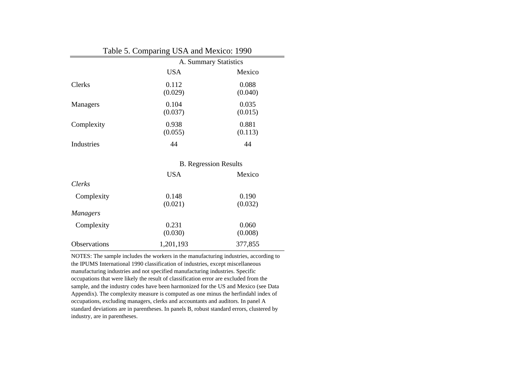#### Table 5. Comparing USA and Mexico: 1990

|                 | A. Summary Statistics |                              |  |  |
|-----------------|-----------------------|------------------------------|--|--|
|                 | <b>USA</b>            | Mexico                       |  |  |
| <b>Clerks</b>   | 0.112<br>(0.029)      | 0.088<br>(0.040)             |  |  |
| Managers        | 0.104<br>(0.037)      | 0.035<br>(0.015)             |  |  |
| Complexity      | 0.938<br>(0.055)      | 0.881<br>(0.113)             |  |  |
| Industries      | 44                    | 44                           |  |  |
|                 |                       | <b>B.</b> Regression Results |  |  |
|                 | <b>USA</b>            | Mexico                       |  |  |
| <b>Clerks</b>   |                       |                              |  |  |
| Complexity      | 0.148<br>(0.021)      | 0.190<br>(0.032)             |  |  |
| <b>Managers</b> |                       |                              |  |  |
| Complexity      | 0.231<br>(0.030)      | 0.060<br>(0.008)             |  |  |

NOTES: The sample includes the workers in the manufacturing industries, according to the IPUMS International 1990 classification of industries, except miscellaneous manufacturing industries and not specified manufacturing industries. Specific occupations that were likely the result of classification error are excluded from the sample, and the industry codes have been harmonized for the US and Mexico (see Data Appendix). The complexity measure is computed as one minus the herfindahl index of occupations, excluding managers, clerks and accountants and auditors. In panel A standard deviations are in parentheses. In panels B, robust standard errors, clustered by industry, are in parentheses.

Observations

1,201,193 377,855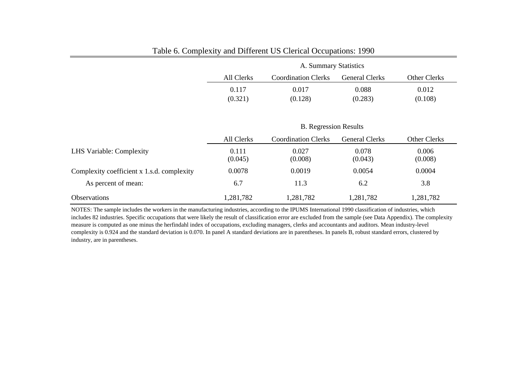|                                            | A. Summary Statistics |                              |                       |                  |  |
|--------------------------------------------|-----------------------|------------------------------|-----------------------|------------------|--|
|                                            | All Clerks            | <b>Coordination Clerks</b>   | <b>General Clerks</b> | Other Clerks     |  |
|                                            | 0.117                 | 0.017                        | 0.088                 | 0.012            |  |
|                                            | (0.321)               | (0.128)                      | (0.283)               | (0.108)          |  |
|                                            |                       |                              |                       |                  |  |
|                                            |                       | <b>B.</b> Regression Results |                       |                  |  |
|                                            | All Clerks            | <b>Coordination Clerks</b>   | <b>General Clerks</b> | Other Clerks     |  |
| LHS Variable: Complexity                   | 0.111<br>(0.045)      | 0.027<br>(0.008)             | 0.078<br>(0.043)      | 0.006<br>(0.008) |  |
| Complexity coefficient x 1.s.d. complexity | 0.0078                | 0.0019                       | 0.0054                | 0.0004           |  |
| As percent of mean:                        | 6.7                   | 11.3                         | 6.2                   | 3.8              |  |
| Observations                               | 1,281,782             | 1,281,782                    | 1,281,782             | 1,281,782        |  |

# Table 6. Complexity and Different US Clerical Occupations: 1990

NOTES: The sample includes the workers in the manufacturing industries, according to the IPUMS International 1990 classification of industries, which includes 82 industries. Specific occupations that were likely the result of classification error are excluded from the sample (see Data Appendix). The complexity measure is computed as one minus the herfindahl index of occupations, excluding managers, clerks and accountants and auditors. Mean industry-level complexity is 0.924 and the standard deviation is 0.070. In panel A standard deviations are in parentheses. In panels B, robust standard errors, clustered by industry, are in parentheses.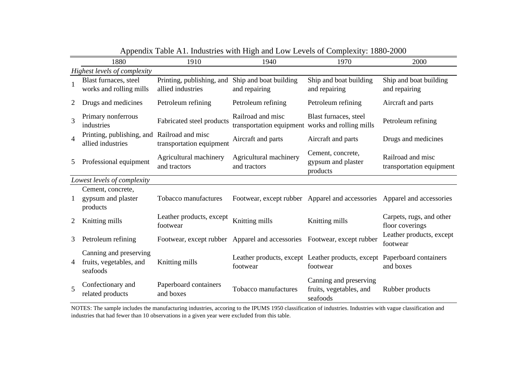|                | 1880                                                             | 1910                                           | 1940                                                                    | 1970                                                                    | 2000                                          |
|----------------|------------------------------------------------------------------|------------------------------------------------|-------------------------------------------------------------------------|-------------------------------------------------------------------------|-----------------------------------------------|
|                | Highest levels of complexity                                     |                                                |                                                                         |                                                                         |                                               |
| $\mathbf{1}$   | Blast furnaces, steel<br>works and rolling mills                 | Printing, publishing, and<br>allied industries | Ship and boat building<br>and repairing                                 | Ship and boat building<br>and repairing                                 | Ship and boat building<br>and repairing       |
| 2              | Drugs and medicines                                              | Petroleum refining                             | Petroleum refining                                                      | Petroleum refining                                                      | Aircraft and parts                            |
| 3              | Primary nonferrous<br>industries                                 | Fabricated steel products                      | Railroad and misc<br>transportation equipment works and rolling mills   | Blast furnaces, steel                                                   | Petroleum refining                            |
| $\overline{4}$ | Printing, publishing, and Railroad and misc<br>allied industries | transportation equipment                       | Aircraft and parts                                                      | Aircraft and parts                                                      | Drugs and medicines                           |
| 5              | Professional equipment                                           | Agricultural machinery<br>and tractors         | Agricultural machinery<br>and tractors                                  | Cement, concrete,<br>gypsum and plaster<br>products                     | Railroad and misc<br>transportation equipment |
|                | Lowest levels of complexity                                      |                                                |                                                                         |                                                                         |                                               |
| 1              | Cement, concrete,<br>gypsum and plaster<br>products              | Tobacco manufactures                           |                                                                         | Footwear, except rubber Apparel and accessories Apparel and accessories |                                               |
| 2              | Knitting mills                                                   | Leather products, except<br>footwear           | Knitting mills                                                          | Knitting mills                                                          | Carpets, rugs, and other<br>floor coverings   |
| 3              | Petroleum refining                                               |                                                | Footwear, except rubber Apparel and accessories Footwear, except rubber |                                                                         | Leather products, except<br>footwear          |
| 4              | Canning and preserving<br>fruits, vegetables, and<br>seafoods    | Knitting mills                                 | footwear                                                                | Leather products, except Leather products, except<br>footwear           | Paperboard containers<br>and boxes            |
| 5              | Confectionary and<br>related products                            | Paperboard containers<br>and boxes             | Tobacco manufactures                                                    | Canning and preserving<br>fruits, vegetables, and<br>seafoods           | Rubber products                               |

Appendix Table A1. Industries with High and Low Levels of Complexity: 1880-2000

NOTES: The sample includes the manufacturing industries, accoring to the IPUMS 1950 classification of industries. Industries with vague classification and industries that had fewer than 10 observations in a given year were excluded from this table.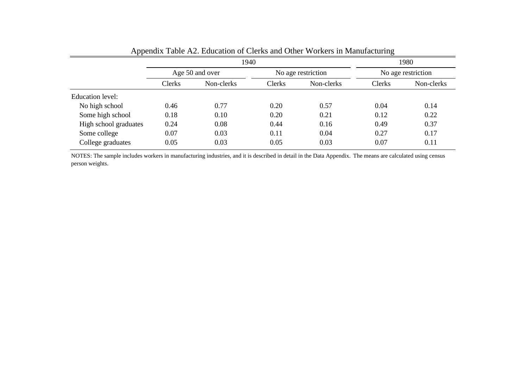|                       |                 | 1940       |                    | 1980       |                    |            |
|-----------------------|-----------------|------------|--------------------|------------|--------------------|------------|
|                       | Age 50 and over |            | No age restriction |            | No age restriction |            |
|                       | Clerks          | Non-clerks | Clerks             | Non-clerks | Clerks             | Non-clerks |
| Education level:      |                 |            |                    |            |                    |            |
| No high school        | 0.46            | 0.77       | 0.20               | 0.57       | 0.04               | 0.14       |
| Some high school      | 0.18            | 0.10       | 0.20               | 0.21       | 0.12               | 0.22       |
| High school graduates | 0.24            | 0.08       | 0.44               | 0.16       | 0.49               | 0.37       |
| Some college          | 0.07            | 0.03       | 0.11               | 0.04       | 0.27               | 0.17       |
| College graduates     | 0.05            | 0.03       | 0.05               | 0.03       | 0.07               | 0.11       |

Appendix Table A2. Education of Clerks and Other Workers in Manufacturing

NOTES: The sample includes workers in manufacturing industries, and it is described in detail in the Data Appendix. The means are calculated using census person weights.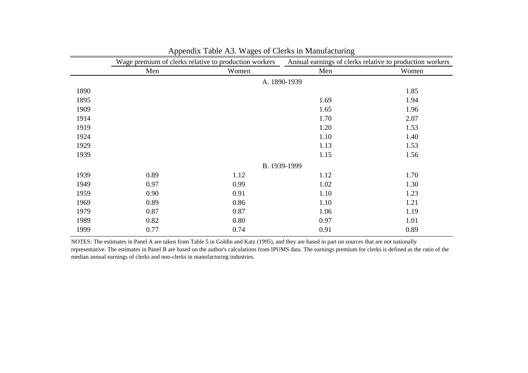|      |      | Wage premium of clerks relative to production workers | Annual earnings of clerks relative to production workers |       |  |
|------|------|-------------------------------------------------------|----------------------------------------------------------|-------|--|
|      | Men  | Women                                                 | Men                                                      | Women |  |
|      |      |                                                       | A. 1890-1939                                             |       |  |
| 1890 |      |                                                       |                                                          | 1.85  |  |
| 1895 |      |                                                       | 1.69                                                     | 1.94  |  |
| 1909 |      |                                                       | 1.65                                                     | 1.96  |  |
| 1914 |      |                                                       | 1.70                                                     | 2.07  |  |
| 1919 |      |                                                       | 1.20                                                     | 1.53  |  |
| 1924 |      |                                                       | 1.10                                                     | 1.40  |  |
| 1929 |      |                                                       | 1.13                                                     | 1.53  |  |
| 1939 |      |                                                       | 1.15                                                     | 1.56  |  |
|      |      |                                                       | B. 1939-1999                                             |       |  |
| 1939 | 0.89 | 1.12                                                  | 1.12                                                     | 1.70  |  |
| 1949 | 0.97 | 0.99                                                  | 1.02                                                     | 1.30  |  |
| 1959 | 0.90 | 0.91                                                  | 1.10                                                     | 1.23  |  |
| 1969 | 0.89 | 0.86                                                  | 1.10                                                     | 1.21  |  |
| 1979 | 0.87 | 0.87                                                  | 1.06                                                     | 1.19  |  |
| 1989 | 0.82 | 0.80                                                  | 0.97                                                     | 1.01  |  |
| 1999 | 0.77 | 0.74                                                  | 0.91                                                     | 0.89  |  |

| Appendix Table A3. Wages of Clerks in Manufacturing |  |  |  |
|-----------------------------------------------------|--|--|--|
|                                                     |  |  |  |

NOTES: The estimates in Panel A are taken from Table 5 in Goldin and Katz (1995), and they are based in part on sources that are not nationally representative. The estimates in Panel B are based on the author's calculations from IPUMS data. The earnings premium for clerks is defined as the ratio of the median annual earnings of clerks and non-clerks in manufacturing industries.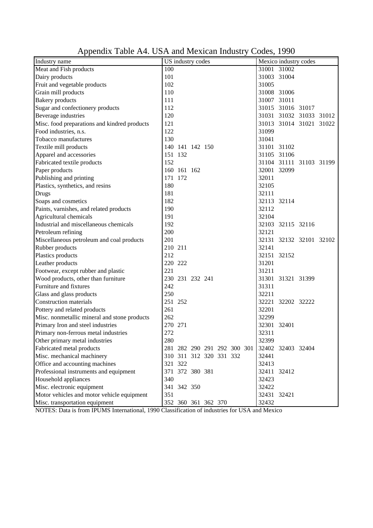| Industry name                                | US industry codes           | Mexico industry codes   |
|----------------------------------------------|-----------------------------|-------------------------|
| Meat and Fish products                       | 100                         | 31001 31002             |
| Dairy products                               | 101                         | 31003 31004             |
| Fruit and vegetable products                 | 102                         | 31005                   |
| Grain mill products                          | 110                         | 31008 31006             |
| <b>Bakery</b> products                       | 111                         | 31007 31011             |
| Sugar and confectionery products             | 112                         | 31015 31016 31017       |
| Beverage industries                          | 120                         | 31031 31032 31033 31012 |
| Misc. food preparations and kindred products | 121                         | 31013 31014 31021 31022 |
| Food industries, n.s.                        | 122                         | 31099                   |
| Tobacco manufactures                         | 130                         | 31041                   |
| Textile mill products                        | 140 141 142 150             | 31101 31102             |
| Apparel and accessories                      | 151 132                     | 31105 31106             |
| Fabricated textile products                  | 152                         | 31104 31111 31103 31199 |
| Paper products                               | 160 161 162                 | 32001 32099             |
| Publishing and printing                      | 171 172                     | 32011                   |
| Plastics, synthetics, and resins             | 180                         | 32105                   |
| <b>Drugs</b>                                 | 181                         | 32111                   |
| Soaps and cosmetics                          | 182                         | 32113 32114             |
| Paints, varnishes, and related products      | 190                         | 32112                   |
| Agricultural chemicals                       | 191                         | 32104                   |
| Industrial and miscellaneous chemicals       | 192                         | 32103 32115 32116       |
| Petroleum refining                           | 200                         | 32121                   |
| Miscellaneous petroleum and coal products    | 201                         | 32131 32132 32101 32102 |
| Rubber products                              | 210 211                     | 32141                   |
| Plastics products                            | 212                         | 32151 32152             |
| Leather products                             | 220 222                     | 31201                   |
| Footwear, except rubber and plastic          | 221                         | 31211                   |
| Wood products, other than furniture          | 230 231 232 241             | 31301 31321 31399       |
| Furniture and fixtures                       | 242                         | 31311                   |
| Glass and glass products                     | 250                         | 32211                   |
| <b>Construction materials</b>                | 251 252                     | 32221 32202 32222       |
| Pottery and related products                 | 261                         | 32201                   |
| Misc. nonmetallic mineral and stone products | 262                         | 32299                   |
| Primary Iron and steel industries            | 270 271                     | 32301 32401             |
| Primary non-ferrous metal industries         | 272                         | 32311                   |
| Other primary metal industries               | 280                         | 32399                   |
| Fabricated metal products                    | 281 282 290 291 292 300 301 | 32402 32403 32404       |
| Misc. mechanical machinery                   | 310 311 312 320 331 332     | 32441                   |
| Office and accounting machines               | 321 322                     | 32413                   |
| Professional instruments and equipment       | 371 372 380 381             | 32411 32412             |
| Household appliances                         | 340                         | 32423                   |
| Misc. electronic equipment                   | 341 342 350                 | 32422                   |
| Motor vehicles and motor vehicle equipment   | 351                         | 32431 32421             |
| Misc. transportation equipment               | 352 360 361 362 370         | 32432                   |

Appendix Table A4. USA and Mexican Industry Codes, 1990

NOTES: Data is from IPUMS International, 1990 Classification of industries for USA and Mexico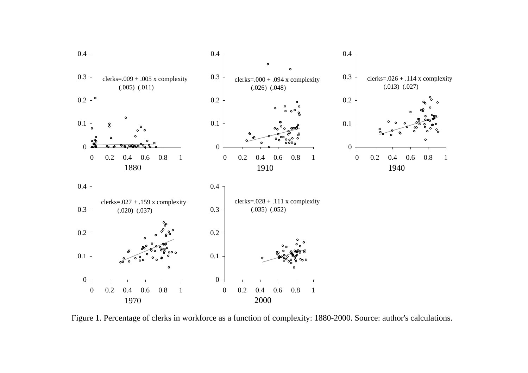

Figure 1. Percentage of clerks in workforce as a function of complexity: 1880-2000. Source: author's calculations.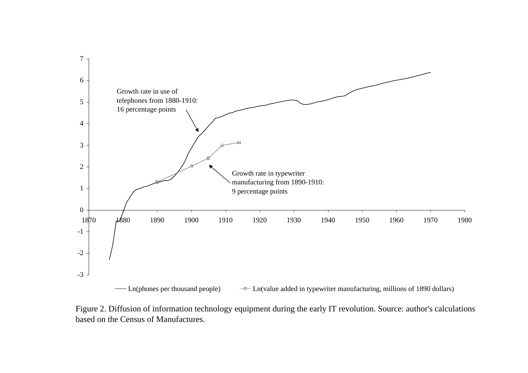

Figure 2. Diffusion of information technology equipment during the early IT revolution. Source: author's calculations based on the Census of Manufactures.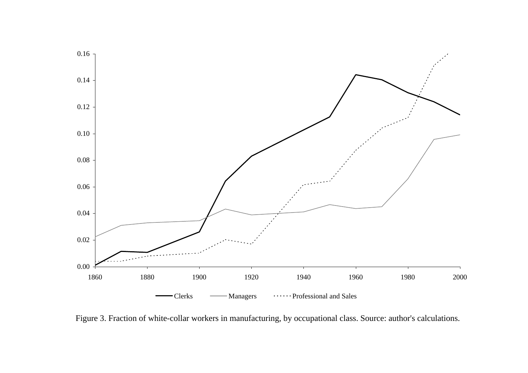

Figure 3. Fraction of white-collar workers in manufacturing, by occupational class. Source: author's calculations.